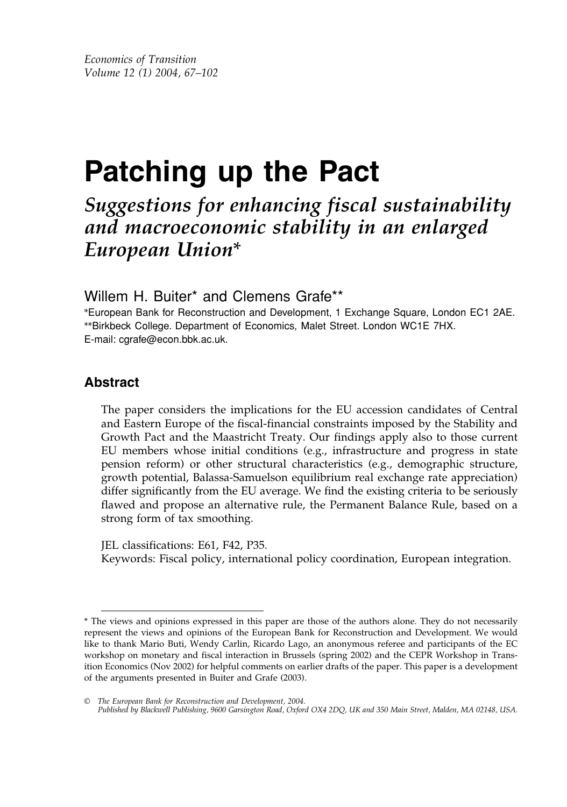# **Patching up the Pact**

*Suggestions for enhancing fiscal sustainability and macroeconomic stability in an enlarged European Union*\*

Willem H. Buiter\* and Clemens Grafe\*\*

\*European Bank for Reconstruction and Development, 1 Exchange Square, London EC1 2AE. \*\*Birkbeck College. Department of Economics, Malet Street. London WC1E 7HX. E-mail: cgrafe@econ.bbk.ac.uk.

# **Abstract**

The paper considers the implications for the EU accession candidates of Central and Eastern Europe of the fiscal-financial constraints imposed by the Stability and Growth Pact and the Maastricht Treaty. Our findings apply also to those current EU members whose initial conditions (e.g., infrastructure and progress in state pension reform) or other structural characteristics (e.g., demographic structure, growth potential, Balassa-Samuelson equilibrium real exchange rate appreciation) differ significantly from the EU average. We find the existing criteria to be seriously flawed and propose an alternative rule, the Permanent Balance Rule, based on a strong form of tax smoothing.

JEL classifications: E61, F42, P35. Keywords: Fiscal policy, international policy coordination, European integration.

<sup>\*</sup> The views and opinions expressed in this paper are those of the authors alone. They do not necessarily represent the views and opinions of the European Bank for Reconstruction and Development. We would like to thank Mario Buti, Wendy Carlin, Ricardo Lago, an anonymous referee and participants of the EC workshop on monetary and fiscal interaction in Brussels (spring 2002) and the CEPR Workshop in Transition Economics (Nov 2002) for helpful comments on earlier drafts of the paper. This paper is a development of the arguments presented in Buiter and Grafe (2003).

*<sup>©</sup> The European Bank for Reconstruction and Development, 2004. Published by Blackwell Publishing, 9600 Garsington Road, Oxford OX4 2DQ, UK and 350 Main Street, Malden, MA 02148, USA.*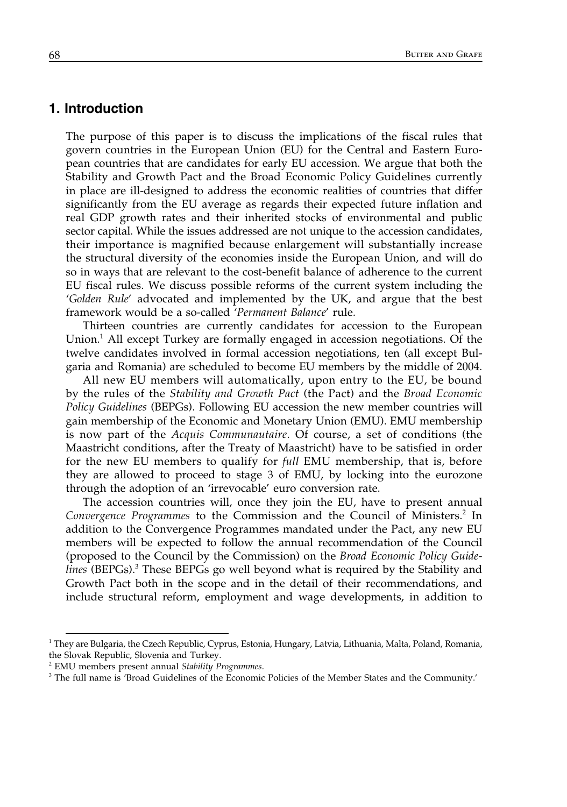# **1. Introduction**

The purpose of this paper is to discuss the implications of the fiscal rules that govern countries in the European Union (EU) for the Central and Eastern European countries that are candidates for early EU accession. We argue that both the Stability and Growth Pact and the Broad Economic Policy Guidelines currently in place are ill-designed to address the economic realities of countries that differ significantly from the EU average as regards their expected future inflation and real GDP growth rates and their inherited stocks of environmental and public sector capital. While the issues addressed are not unique to the accession candidates, their importance is magnified because enlargement will substantially increase the structural diversity of the economies inside the European Union, and will do so in ways that are relevant to the cost-benefit balance of adherence to the current EU fiscal rules. We discuss possible reforms of the current system including the '*Golden Rule*' advocated and implemented by the UK, and argue that the best framework would be a so-called '*Permanent Balance*' rule.

Thirteen countries are currently candidates for accession to the European Union.<sup>1</sup> All except Turkey are formally engaged in accession negotiations. Of the twelve candidates involved in formal accession negotiations, ten (all except Bulgaria and Romania) are scheduled to become EU members by the middle of 2004.

All new EU members will automatically, upon entry to the EU, be bound by the rules of the *Stability and Growth Pact* (the Pact) and the *Broad Economic Policy Guidelines* (BEPGs). Following EU accession the new member countries will gain membership of the Economic and Monetary Union (EMU). EMU membership is now part of the *Acquis Communautaire*. Of course, a set of conditions (the Maastricht conditions, after the Treaty of Maastricht) have to be satisfied in order for the new EU members to qualify for *full* EMU membership, that is, before they are allowed to proceed to stage 3 of EMU, by locking into the eurozone through the adoption of an 'irrevocable' euro conversion rate.

The accession countries will, once they join the EU, have to present annual Convergence Programmes to the Commission and the Council of Ministers.<sup>2</sup> In addition to the Convergence Programmes mandated under the Pact, any new EU members will be expected to follow the annual recommendation of the Council (proposed to the Council by the Commission) on the *Broad Economic Policy Guide*lines (BEPGs).<sup>3</sup> These BEPGs go well beyond what is required by the Stability and Growth Pact both in the scope and in the detail of their recommendations, and include structural reform, employment and wage developments, in addition to

<sup>&</sup>lt;sup>1</sup> They are Bulgaria, the Czech Republic, Cyprus, Estonia, Hungary, Latvia, Lithuania, Malta, Poland, Romania, the Slovak Republic, Slovenia and Turkey.

<sup>2</sup> EMU members present annual *Stability Programmes*.

<sup>&</sup>lt;sup>3</sup> The full name is 'Broad Guidelines of the Economic Policies of the Member States and the Community.'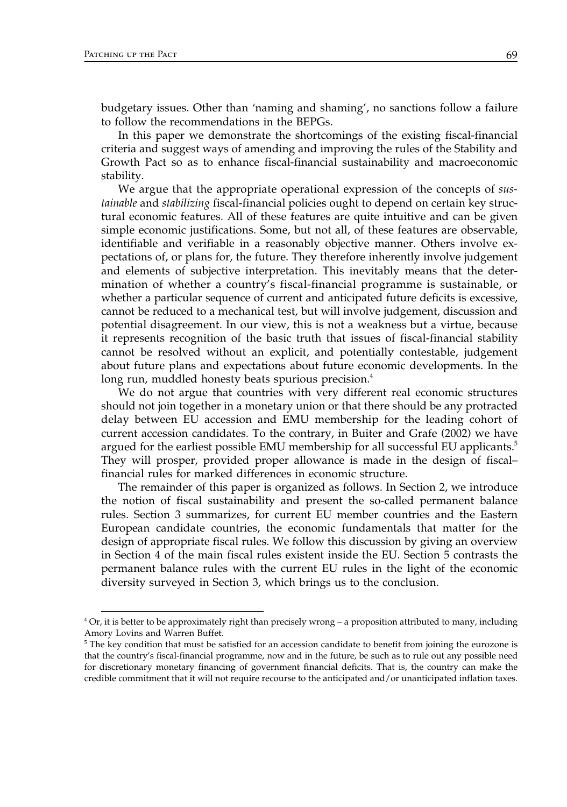budgetary issues. Other than 'naming and shaming', no sanctions follow a failure to follow the recommendations in the BEPGs.

In this paper we demonstrate the shortcomings of the existing fiscal-financial criteria and suggest ways of amending and improving the rules of the Stability and Growth Pact so as to enhance fiscal-financial sustainability and macroeconomic stability.

We argue that the appropriate operational expression of the concepts of *sustainable* and *stabilizing* fiscal-financial policies ought to depend on certain key structural economic features. All of these features are quite intuitive and can be given simple economic justifications. Some, but not all, of these features are observable, identifiable and verifiable in a reasonably objective manner. Others involve expectations of, or plans for, the future. They therefore inherently involve judgement and elements of subjective interpretation. This inevitably means that the determination of whether a country's fiscal-financial programme is sustainable, or whether a particular sequence of current and anticipated future deficits is excessive, cannot be reduced to a mechanical test, but will involve judgement, discussion and potential disagreement. In our view, this is not a weakness but a virtue, because it represents recognition of the basic truth that issues of fiscal-financial stability cannot be resolved without an explicit, and potentially contestable, judgement about future plans and expectations about future economic developments. In the long run, muddled honesty beats spurious precision.<sup>4</sup>

We do not argue that countries with very different real economic structures should not join together in a monetary union or that there should be any protracted delay between EU accession and EMU membership for the leading cohort of current accession candidates. To the contrary, in Buiter and Grafe (2002) we have argued for the earliest possible EMU membership for all successful EU applicants.<sup>5</sup> They will prosper, provided proper allowance is made in the design of fiscal– financial rules for marked differences in economic structure.

The remainder of this paper is organized as follows. In Section 2, we introduce the notion of fiscal sustainability and present the so-called permanent balance rules. Section 3 summarizes, for current EU member countries and the Eastern European candidate countries, the economic fundamentals that matter for the design of appropriate fiscal rules. We follow this discussion by giving an overview in Section 4 of the main fiscal rules existent inside the EU. Section 5 contrasts the permanent balance rules with the current EU rules in the light of the economic diversity surveyed in Section 3, which brings us to the conclusion.

<sup>4</sup> Or, it is better to be approximately right than precisely wrong – a proposition attributed to many, including Amory Lovins and Warren Buffet.

<sup>&</sup>lt;sup>5</sup> The key condition that must be satisfied for an accession candidate to benefit from joining the eurozone is that the country's fiscal-financial programme, now and in the future, be such as to rule out any possible need for discretionary monetary financing of government financial deficits. That is, the country can make the credible commitment that it will not require recourse to the anticipated and/or unanticipated inflation taxes.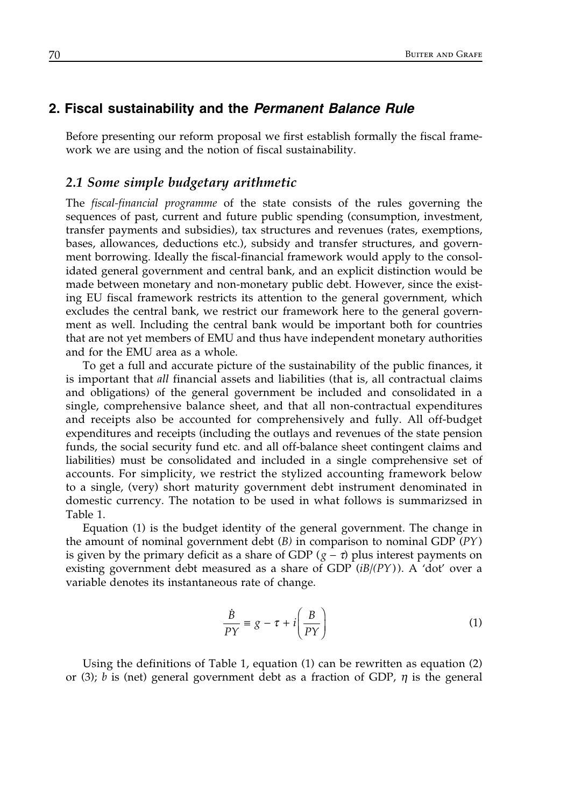# **2. Fiscal sustainability and the** *Permanent Balance Rule*

Before presenting our reform proposal we first establish formally the fiscal framework we are using and the notion of fiscal sustainability.

# *2.1 Some simple budgetary arithmetic*

The *fiscal-financial programme* of the state consists of the rules governing the sequences of past, current and future public spending (consumption, investment, transfer payments and subsidies), tax structures and revenues (rates, exemptions, bases, allowances, deductions etc.), subsidy and transfer structures, and government borrowing. Ideally the fiscal-financial framework would apply to the consolidated general government and central bank, and an explicit distinction would be made between monetary and non-monetary public debt. However, since the existing EU fiscal framework restricts its attention to the general government, which excludes the central bank, we restrict our framework here to the general government as well. Including the central bank would be important both for countries that are not yet members of EMU and thus have independent monetary authorities and for the EMU area as a whole.

To get a full and accurate picture of the sustainability of the public finances, it is important that *all* financial assets and liabilities (that is, all contractual claims and obligations) of the general government be included and consolidated in a single, comprehensive balance sheet, and that all non-contractual expenditures and receipts also be accounted for comprehensively and fully. All off-budget expenditures and receipts (including the outlays and revenues of the state pension funds, the social security fund etc. and all off-balance sheet contingent claims and liabilities) must be consolidated and included in a single comprehensive set of accounts. For simplicity, we restrict the stylized accounting framework below to a single, (very) short maturity government debt instrument denominated in domestic currency. The notation to be used in what follows is summarizsed in Table 1.

Equation (1) is the budget identity of the general government. The change in the amount of nominal government debt (*B)* in comparison to nominal GDP (*PY*) is given by the primary deficit as a share of GDP  $(g - \tau)$  plus interest payments on existing government debt measured as a share of GDP (*iB/(PY*)). A 'dot' over a variable denotes its instantaneous rate of change.

$$
\frac{\dot{B}}{PY} \equiv g - \tau + i \left(\frac{B}{PY}\right) \tag{1}
$$

Using the definitions of Table 1, equation (1) can be rewritten as equation (2) or (3); *b* is (net) general government debt as a fraction of GDP,  $\eta$  is the general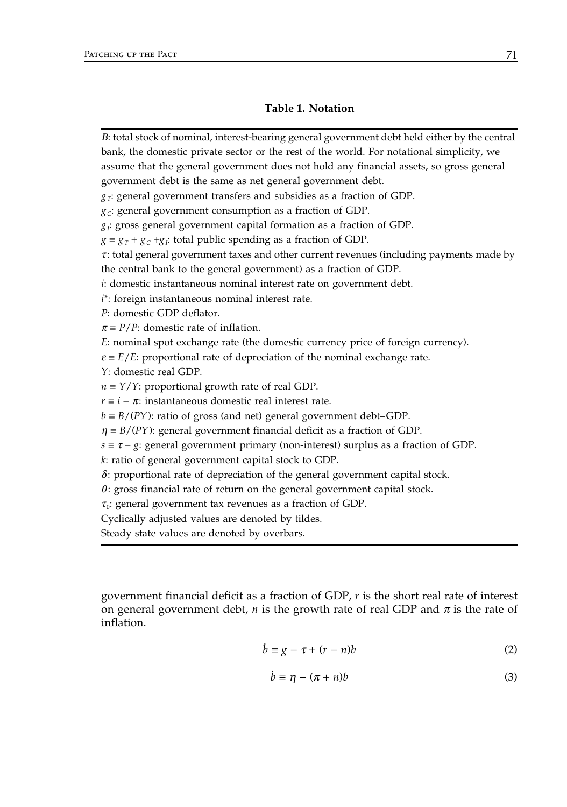#### **Table 1. Notation**

<sup>Β</sup>: total stock of nominal, interest-bearing general government debt held either by the central bank, the domestic private sector or the rest of the world. For notational simplicity, we assume that the general government does not hold any financial assets, so gross general government debt is the same as net general government debt.

 $g_{\tau}$ : general government transfers and subsidies as a fraction of GDP.

*gC*: general government consumption as a fraction of GDP.

 $g_I$ : gross general government capital formation as a fraction of GDP.

 $g \equiv g_T + g_C + g_I$ : total public spending as a fraction of GDP.

 $\tau$ : total general government taxes and other current revenues (including payments made by the central bank to the general government) as a fraction of GDP.

*i*: domestic instantaneous nominal interest rate on government debt.

*i\**: foreign instantaneous nominal interest rate.

*P*: domestic GDP deflator.

 $\pi \equiv P/P$ : domestic rate of inflation.

*E*: nominal spot exchange rate (the domestic currency price of foreign currency).

 $\varepsilon = E/E$ : proportional rate of depreciation of the nominal exchange rate.

*Y*: domestic real GDP.

 $n \equiv Y/Y$ : proportional growth rate of real GDP.

 $r \equiv i - \pi$ : instantaneous domestic real interest rate.

 $b \equiv B/(PY)$ : ratio of gross (and net) general government debt–GDP.

 $\eta = B/(PY)$ : general government financial deficit as a fraction of GDP.

*s* =  $\tau$  – *g*: general government primary (non-interest) surplus as a fraction of GDP.

*k*: ratio of general government capital stock to GDP.

 $\delta$ : proportional rate of depreciation of the general government capital stock.

 $\theta$ : gross financial rate of return on the general government capital stock.

 $\tau_0$ : general government tax revenues as a fraction of GDP.

Cyclically adjusted values are denoted by tildes.

Steady state values are denoted by overbars.

government financial deficit as a fraction of GDP, *r* is the short real rate of interest on general government debt,  $n$  is the growth rate of real GDP and  $\pi$  is the rate of inflation.

$$
\dot{b} \equiv g - \tau + (r - n)b \tag{2}
$$

$$
\dot{b} \equiv \eta - (\pi + n)b \tag{3}
$$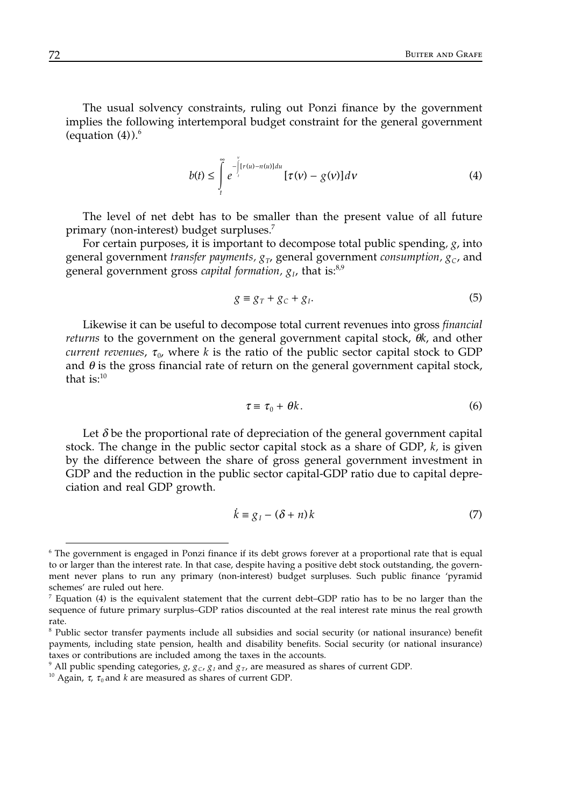The usual solvency constraints, ruling out Ponzi finance by the government implies the following intertemporal budget constraint for the general government (equation  $(4)$ ).<sup>6</sup>

$$
b(t) \leq \int\limits_t^{\infty} e^{-\int\limits_t^t [r(u)-n(u)]du} \left[\tau(v) - g(v)\right]dv\tag{4}
$$

The level of net debt has to be smaller than the present value of all future primary (non-interest) budget surpluses.7

For certain purposes, it is important to decompose total public spending*, g*, into general government *transfer payments,*  $g_T$  general government *consumption*,  $g_C$ , and general government gross *capital formation*,  $g<sub>U</sub>$ , that is:<sup>8,9</sup>

$$
g \equiv g_T + g_C + g_I. \tag{5}
$$

Likewise it can be useful to decompose total current revenues into gross *financial returns* to the government on the general government capital stock, θ*k*, and other *current revenues,*  $\tau_{0}$ , where *k* is the ratio of the public sector capital stock to GDP and  $\theta$  is the gross financial rate of return on the general government capital stock, that is: $10$ 

$$
\tau \equiv \tau_0 + \theta k. \tag{6}
$$

Let  $\delta$  be the proportional rate of depreciation of the general government capital stock. The change in the public sector capital stock as a share of GDP, *k,* is given by the difference between the share of gross general government investment in GDP and the reduction in the public sector capital-GDP ratio due to capital depreciation and real GDP growth.

$$
\dot{k} \equiv g_I - (\delta + n)k \tag{7}
$$

<sup>9</sup> All public spending categories,  $g$ ,  $g_C$ ,  $g_I$  and  $g_T$ , are measured as shares of current GDP.

<sup>&</sup>lt;sup>6</sup> The government is engaged in Ponzi finance if its debt grows forever at a proportional rate that is equal to or larger than the interest rate. In that case, despite having a positive debt stock outstanding, the government never plans to run any primary (non-interest) budget surpluses. Such public finance 'pyramid schemes' are ruled out here.

<sup>7</sup> Equation (4) is the equivalent statement that the current debt–GDP ratio has to be no larger than the sequence of future primary surplus–GDP ratios discounted at the real interest rate minus the real growth rate.

<sup>8</sup> Public sector transfer payments include all subsidies and social security (or national insurance) benefit payments, including state pension, health and disability benefits. Social security (or national insurance) taxes or contributions are included among the taxes in the accounts.

<sup>&</sup>lt;sup>10</sup> Again,  $\tau$ ,  $\tau_0$  and *k* are measured as shares of current GDP.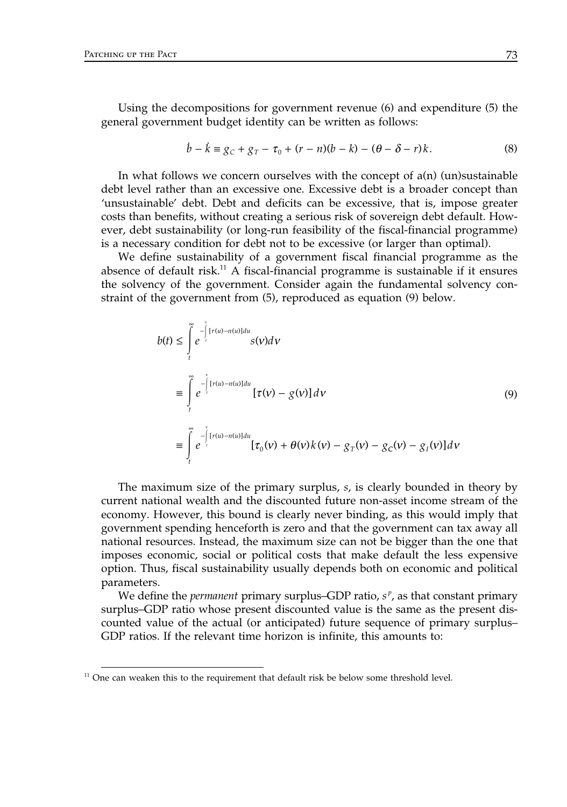Using the decompositions for government revenue (6) and expenditure (5) the general government budget identity can be written as follows:

$$
\dot{b} - \dot{k} = g_c + g_r - \tau_0 + (r - n)(b - k) - (\theta - \delta - r)k. \tag{8}
$$

In what follows we concern ourselves with the concept of  $a(n)$  (un)sustainable debt level rather than an excessive one. Excessive debt is a broader concept than 'unsustainable' debt. Debt and deficits can be excessive, that is, impose greater costs than benefits, without creating a serious risk of sovereign debt default. However, debt sustainability (or long-run feasibility of the fiscal-financial programme) is a necessary condition for debt not to be excessive (or larger than optimal).

We define sustainability of a government fiscal financial programme as the absence of default risk.<sup>11</sup> A fiscal-financial programme is sustainable if it ensures the solvency of the government. Consider again the fundamental solvency constraint of the government from (5), reproduced as equation (9) below.

$$
b(t) \le \int_{t}^{\infty} e^{-\int_{t}^{v} [\Gamma(u) - n(u)] du} s(v) dv
$$
  
\n
$$
\equiv \int_{t}^{\infty} e^{-\int_{t}^{v} [\Gamma(u) - n(u)] du} [\tau(v) - g(v)] dv
$$
  
\n
$$
\equiv \int_{t}^{\infty} e^{-\int_{t}^{v} [\Gamma(u) - n(u)] du} [\tau_{0}(v) + \theta(v) k(v) - g_{T}(v) - g_{C}(v) - g_{I}(v)] dv
$$
\n(9)

The maximum size of the primary surplus, *s*, is clearly bounded in theory by current national wealth and the discounted future non-asset income stream of the economy. However, this bound is clearly never binding, as this would imply that government spending henceforth is zero and that the government can tax away all national resources. Instead, the maximum size can not be bigger than the one that imposes economic, social or political costs that make default the less expensive option. Thus, fiscal sustainability usually depends both on economic and political parameters.

We define the *permanent* primary surplus–GDP ratio,  $s^p$ , as that constant primary surplus–GDP ratio whose present discounted value is the same as the present discounted value of the actual (or anticipated) future sequence of primary surplus– GDP ratios. If the relevant time horizon is infinite, this amounts to:

 $11$  One can weaken this to the requirement that default risk be below some threshold level.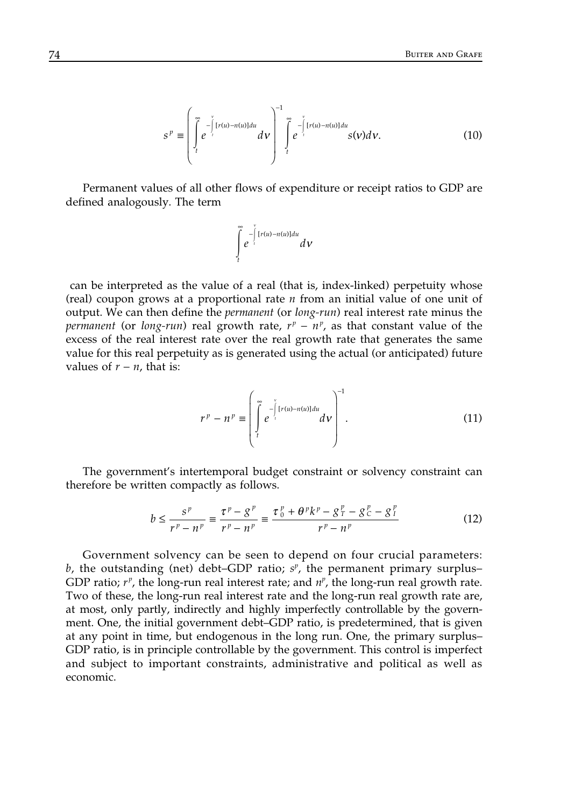$$
s^p \equiv \left(\int\limits_t^\infty e^{-\int\limits_t^v [r(u)-n(u)]du} dv\right)^{-1} \int\limits_t^\infty e^{-\int\limits_t^v [r(u)-n(u)]du} s(v)dv. \tag{10}
$$

Permanent values of all other flows of expenditure or receipt ratios to GDP are defined analogously. The term

$$
\int\limits_t^\infty e^{-\int\limits_t^v [r(u)-n(u)]du} dv
$$

can be interpreted as the value of a real (that is, index-linked) perpetuity whose (real) coupon grows at a proportional rate *n* from an initial value of one unit of output. We can then define the *permanent* (or *long-run*) real interest rate minus the *permanent* (or *long-run*) real growth rate,  $r^p - n^p$ , as that constant value of the excess of the real interest rate over the real growth rate that generates the same value for this real perpetuity as is generated using the actual (or anticipated) future values of  $r - n$ , that is:

$$
r^{p} - n^{p} \equiv \left( \int_{t}^{\infty} e^{-\int_{t}^{v} [r(u) - n(u)] du} dv \right)^{-1}.
$$
 (11)

The government's intertemporal budget constraint or solvency constraint can therefore be written compactly as follows.

$$
b \le \frac{s^p}{r^p - n^p} \equiv \frac{\tau^p - g^p}{r^p - n^p} \equiv \frac{\tau_0^p + \theta^p k^p - g^p - g^p}{r^p - n^p} \tag{12}
$$

Government solvency can be seen to depend on four crucial parameters: *b*, the outstanding (net) debt–GDP ratio; *s<sup>p</sup>* , the permanent primary surplus– GDP ratio;  $r^p$ , the long-run real interest rate; and  $n^p$ , the long-run real growth rate. Two of these, the long-run real interest rate and the long-run real growth rate are, at most, only partly, indirectly and highly imperfectly controllable by the government. One, the initial government debt–GDP ratio, is predetermined, that is given at any point in time, but endogenous in the long run. One, the primary surplus– GDP ratio, is in principle controllable by the government. This control is imperfect and subject to important constraints, administrative and political as well as economic.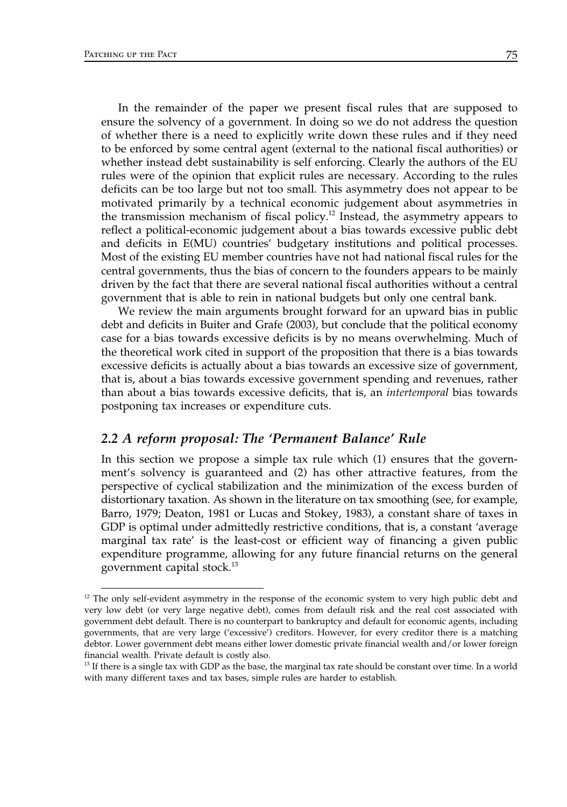In the remainder of the paper we present fiscal rules that are supposed to ensure the solvency of a government. In doing so we do not address the question of whether there is a need to explicitly write down these rules and if they need to be enforced by some central agent (external to the national fiscal authorities) or whether instead debt sustainability is self enforcing. Clearly the authors of the EU rules were of the opinion that explicit rules are necessary. According to the rules deficits can be too large but not too small. This asymmetry does not appear to be motivated primarily by a technical economic judgement about asymmetries in the transmission mechanism of fiscal policy.12 Instead, the asymmetry appears to reflect a political-economic judgement about a bias towards excessive public debt and deficits in E(MU) countries' budgetary institutions and political processes. Most of the existing EU member countries have not had national fiscal rules for the central governments, thus the bias of concern to the founders appears to be mainly driven by the fact that there are several national fiscal authorities without a central government that is able to rein in national budgets but only one central bank.

We review the main arguments brought forward for an upward bias in public debt and deficits in Buiter and Grafe (2003), but conclude that the political economy case for a bias towards excessive deficits is by no means overwhelming. Much of the theoretical work cited in support of the proposition that there is a bias towards excessive deficits is actually about a bias towards an excessive size of government, that is, about a bias towards excessive government spending and revenues, rather than about a bias towards excessive deficits, that is, an *intertemporal* bias towards postponing tax increases or expenditure cuts.

# *2.2 A reform proposal: The 'Permanent Balance' Rule*

In this section we propose a simple tax rule which (1) ensures that the government's solvency is guaranteed and (2) has other attractive features, from the perspective of cyclical stabilization and the minimization of the excess burden of distortionary taxation. As shown in the literature on tax smoothing (see, for example, Barro, 1979; Deaton, 1981 or Lucas and Stokey, 1983), a constant share of taxes in GDP is optimal under admittedly restrictive conditions, that is, a constant 'average marginal tax rate' is the least-cost or efficient way of financing a given public expenditure programme, allowing for any future financial returns on the general government capital stock.<sup>13</sup>

<sup>&</sup>lt;sup>12</sup> The only self-evident asymmetry in the response of the economic system to very high public debt and very low debt (or very large negative debt), comes from default risk and the real cost associated with government debt default. There is no counterpart to bankruptcy and default for economic agents, including governments, that are very large ('excessive') creditors. However, for every creditor there is a matching debtor. Lower government debt means either lower domestic private financial wealth and/or lower foreign financial wealth. Private default is costly also.

<sup>&</sup>lt;sup>13</sup> If there is a single tax with GDP as the base, the marginal tax rate should be constant over time. In a world with many different taxes and tax bases, simple rules are harder to establish.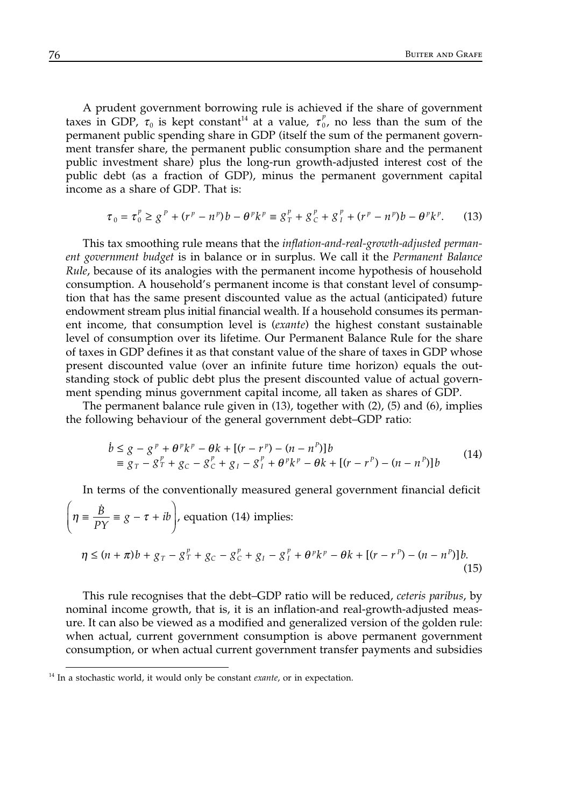A prudent government borrowing rule is achieved if the share of government taxes in GDP,  $\tau_0$  is kept constant<sup>14</sup> at a value,  $\tau_0^p$ , no less than the sum of the permanent public spending share in GDP (itself the sum of the permanent government transfer share, the permanent public consumption share and the permanent public investment share) plus the long-run growth-adjusted interest cost of the public debt (as a fraction of GDP), minus the permanent government capital income as a share of GDP. That is:

$$
\tau_0 = \tau_0^p \ge g^p + (r^p - n^p)b - \theta^p k^p \equiv g_T^p + g_C^p + g_I^p + (r^p - n^p)b - \theta^p k^p. \tag{13}
$$

This tax smoothing rule means that the *inflation-and-real-growth-adjusted permanent government budget* is in balance or in surplus. We call it the *Permanent Balance Rule*, because of its analogies with the permanent income hypothesis of household consumption. A household's permanent income is that constant level of consumption that has the same present discounted value as the actual (anticipated) future endowment stream plus initial financial wealth. If a household consumes its permanent income, that consumption level is (*exante*) the highest constant sustainable level of consumption over its lifetime. Our Permanent Balance Rule for the share of taxes in GDP defines it as that constant value of the share of taxes in GDP whose present discounted value (over an infinite future time horizon) equals the outstanding stock of public debt plus the present discounted value of actual government spending minus government capital income, all taken as shares of GDP.

The permanent balance rule given in (13), together with (2), (5) and (6), implies the following behaviour of the general government debt–GDP ratio:

$$
\begin{aligned} \n\dot{b} &\leq g - g^p + \theta^p k^p - \theta k + \left[ (r - r^p) - (n - n^p) \right] b \\ \n&\equiv g_T - g_T^p + g_C - g_C^p + g_I - g_I^p + \theta^p k^p - \theta k + \left[ (r - r^p) - (n - n^p) \right] b \n\end{aligned} \tag{14}
$$

In terms of the conventionally measured general government financial deficit  $\left(\eta = \frac{\dot{B}}{D\epsilon} \equiv g - \tau + ib\right)$ , equation (14) implies: (15)  $\overline{\mathcal{L}}$  $\lambda$  $\frac{\dot{B}}{PY}$   $\equiv g - \tau + ib$  $\eta \leq (n + \pi)b + g_T - g_T^p + g_C - g_C^p + g_I - g_I^p + \theta^p k^p - \theta k + [(r - r^p) - (n - n^p)]b.$ 

This rule recognises that the debt–GDP ratio will be reduced, *ceteris paribus*, by nominal income growth, that is, it is an inflation-and real-growth-adjusted measure. It can also be viewed as a modified and generalized version of the golden rule: when actual, current government consumption is above permanent government consumption, or when actual current government transfer payments and subsidies

<sup>&</sup>lt;sup>14</sup> In a stochastic world, it would only be constant *exante*, or in expectation.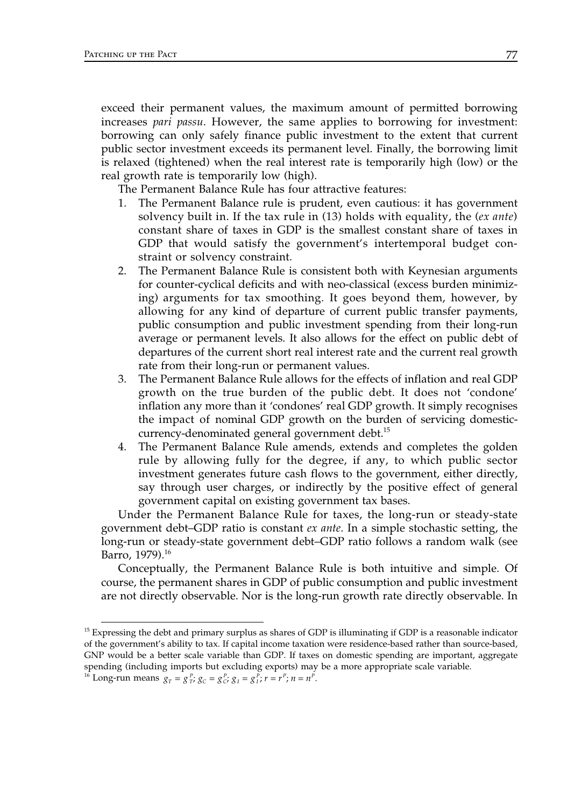exceed their permanent values, the maximum amount of permitted borrowing increases *pari passu*. However, the same applies to borrowing for investment: borrowing can only safely finance public investment to the extent that current public sector investment exceeds its permanent level. Finally, the borrowing limit is relaxed (tightened) when the real interest rate is temporarily high (low) or the real growth rate is temporarily low (high).

The Permanent Balance Rule has four attractive features:

- 1. The Permanent Balance rule is prudent, even cautious: it has government solvency built in. If the tax rule in (13) holds with equality, the (*ex ante*) constant share of taxes in GDP is the smallest constant share of taxes in GDP that would satisfy the government's intertemporal budget constraint or solvency constraint.
- 2. The Permanent Balance Rule is consistent both with Keynesian arguments for counter-cyclical deficits and with neo-classical (excess burden minimizing) arguments for tax smoothing. It goes beyond them, however, by allowing for any kind of departure of current public transfer payments, public consumption and public investment spending from their long-run average or permanent levels. It also allows for the effect on public debt of departures of the current short real interest rate and the current real growth rate from their long-run or permanent values.
- 3. The Permanent Balance Rule allows for the effects of inflation and real GDP growth on the true burden of the public debt. It does not 'condone' inflation any more than it 'condones' real GDP growth. It simply recognises the impact of nominal GDP growth on the burden of servicing domesticcurrency-denominated general government debt.<sup>15</sup>
- 4. The Permanent Balance Rule amends, extends and completes the golden rule by allowing fully for the degree, if any, to which public sector investment generates future cash flows to the government, either directly, say through user charges, or indirectly by the positive effect of general government capital on existing government tax bases.

Under the Permanent Balance Rule for taxes, the long-run or steady-state government debt–GDP ratio is constant *ex ante*. In a simple stochastic setting, the long-run or steady-state government debt–GDP ratio follows a random walk (see Barro, 1979).<sup>16</sup>

Conceptually, the Permanent Balance Rule is both intuitive and simple. Of course, the permanent shares in GDP of public consumption and public investment are not directly observable. Nor is the long-run growth rate directly observable. In

<sup>&</sup>lt;sup>15</sup> Expressing the debt and primary surplus as shares of GDP is illuminating if GDP is a reasonable indicator of the government's ability to tax. If capital income taxation were residence-based rather than source-based, GNP would be a better scale variable than GDP. If taxes on domestic spending are important, aggregate spending (including imports but excluding exports) may be a more appropriate scale variable.

<sup>&</sup>lt;sup>16</sup> Long-run means  $g_T = g_{T}^P$ ;  $g_C = g_C^P$ ;  $g_I = g_I^P$ ;  $r = r^P$ ;  $n = n^P$ .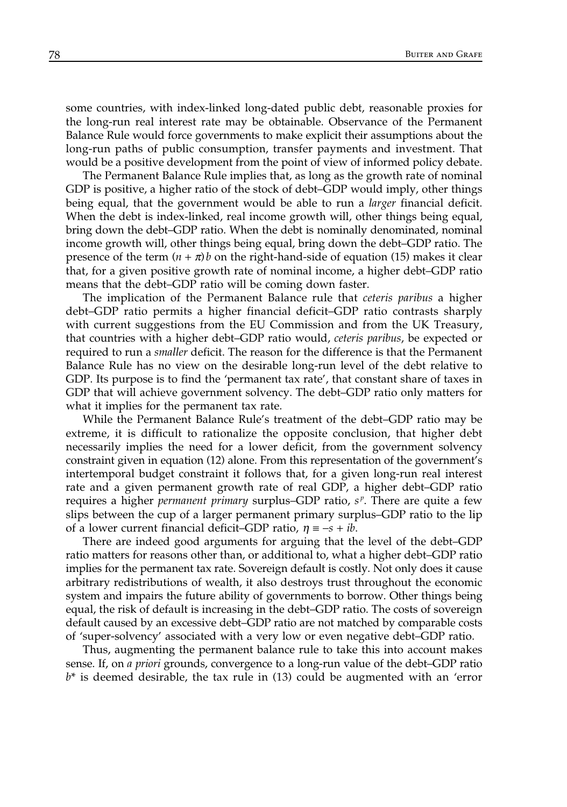some countries, with index-linked long-dated public debt, reasonable proxies for the long-run real interest rate may be obtainable. Observance of the Permanent Balance Rule would force governments to make explicit their assumptions about the long-run paths of public consumption, transfer payments and investment. That would be a positive development from the point of view of informed policy debate.

The Permanent Balance Rule implies that, as long as the growth rate of nominal GDP is positive, a higher ratio of the stock of debt–GDP would imply, other things being equal, that the government would be able to run a *larger* financial deficit. When the debt is index-linked, real income growth will, other things being equal, bring down the debt–GDP ratio. When the debt is nominally denominated, nominal income growth will, other things being equal, bring down the debt–GDP ratio. The presence of the term  $(n + \pi)b$  on the right-hand-side of equation (15) makes it clear that, for a given positive growth rate of nominal income, a higher debt–GDP ratio means that the debt–GDP ratio will be coming down faster.

The implication of the Permanent Balance rule that *ceteris paribus* a higher debt–GDP ratio permits a higher financial deficit–GDP ratio contrasts sharply with current suggestions from the EU Commission and from the UK Treasury, that countries with a higher debt–GDP ratio would, *ceteris paribus*, be expected or required to run a *smaller* deficit. The reason for the difference is that the Permanent Balance Rule has no view on the desirable long-run level of the debt relative to GDP. Its purpose is to find the 'permanent tax rate', that constant share of taxes in GDP that will achieve government solvency. The debt–GDP ratio only matters for what it implies for the permanent tax rate.

While the Permanent Balance Rule's treatment of the debt–GDP ratio may be extreme, it is difficult to rationalize the opposite conclusion, that higher debt necessarily implies the need for a lower deficit, from the government solvency constraint given in equation (12) alone. From this representation of the government's intertemporal budget constraint it follows that, for a given long-run real interest rate and a given permanent growth rate of real GDP, a higher debt–GDP ratio requires a higher *permanent primary* surplus–GDP ratio, s<sup>p</sup>. There are quite a few slips between the cup of a larger permanent primary surplus–GDP ratio to the lip of a lower current financial deficit–GDP ratio,  $\eta = -s + ib$ .

There are indeed good arguments for arguing that the level of the debt–GDP ratio matters for reasons other than, or additional to, what a higher debt–GDP ratio implies for the permanent tax rate. Sovereign default is costly. Not only does it cause arbitrary redistributions of wealth, it also destroys trust throughout the economic system and impairs the future ability of governments to borrow. Other things being equal, the risk of default is increasing in the debt–GDP ratio. The costs of sovereign default caused by an excessive debt–GDP ratio are not matched by comparable costs of 'super-solvency' associated with a very low or even negative debt–GDP ratio.

Thus, augmenting the permanent balance rule to take this into account makes sense. If, on *a priori* grounds, convergence to a long-run value of the debt–GDP ratio *b*\* is deemed desirable, the tax rule in (13) could be augmented with an 'error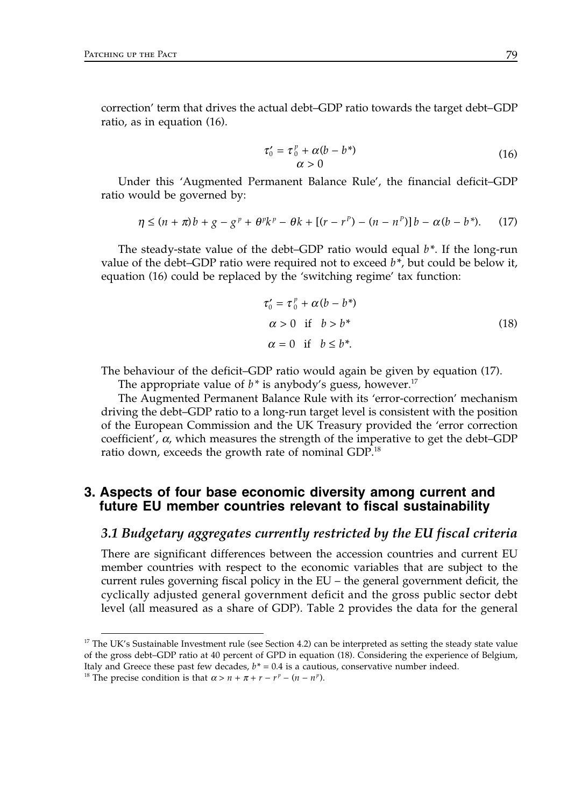correction' term that drives the actual debt–GDP ratio towards the target debt–GDP ratio, as in equation (16).

$$
\tau_0' = \tau_0^p + \alpha (b - b^*)
$$
  
\n
$$
\alpha > 0
$$
\n(16)

Under this 'Augmented Permanent Balance Rule', the financial deficit–GDP ratio would be governed by:

$$
\eta \le (n + \pi)b + g - g^{p} + \theta^{p}k^{p} - \theta k + [(r - r^{p}) - (n - n^{p})]b - \alpha(b - b^{*}).
$$
 (17)

The steady-state value of the debt–GDP ratio would equal *b* \*. If the long-run value of the debt–GDP ratio were required not to exceed *b* \*, but could be below it, equation (16) could be replaced by the 'switching regime' tax function:

$$
\tau'_{0} = \tau_{0}^{p} + \alpha(b - b^{*})
$$
  
\n
$$
\alpha > 0 \quad \text{if} \quad b > b^{*}
$$
  
\n
$$
\alpha = 0 \quad \text{if} \quad b \le b^{*}.
$$
\n(18)

The behaviour of the deficit–GDP ratio would again be given by equation (17).

The appropriate value of  $b^*$  is anybody's guess, however.<sup>17</sup>

The Augmented Permanent Balance Rule with its 'error-correction' mechanism driving the debt–GDP ratio to a long-run target level is consistent with the position of the European Commission and the UK Treasury provided the 'error correction coefficient',  $\alpha$ , which measures the strength of the imperative to get the debt–GDP ratio down, exceeds the growth rate of nominal GDP.<sup>18</sup>

# **3. Aspects of four base economic diversity among current and future EU member countries relevant to fiscal sustainability**

# *3.1 Budgetary aggregates currently restricted by the EU fiscal criteria*

There are significant differences between the accession countries and current EU member countries with respect to the economic variables that are subject to the current rules governing fiscal policy in the EU – the general government deficit, the cyclically adjusted general government deficit and the gross public sector debt level (all measured as a share of GDP). Table 2 provides the data for the general

<sup>&</sup>lt;sup>17</sup> The UK's Sustainable Investment rule (see Section 4.2) can be interpreted as setting the steady state value of the gross debt–GDP ratio at 40 percent of GPD in equation (18). Considering the experience of Belgium, Italy and Greece these past few decades,  $b^* = 0.4$  is a cautious, conservative number indeed.

<sup>&</sup>lt;sup>18</sup> The precise condition is that  $\alpha > n + \pi + r - r^p - (n - n^p)$ .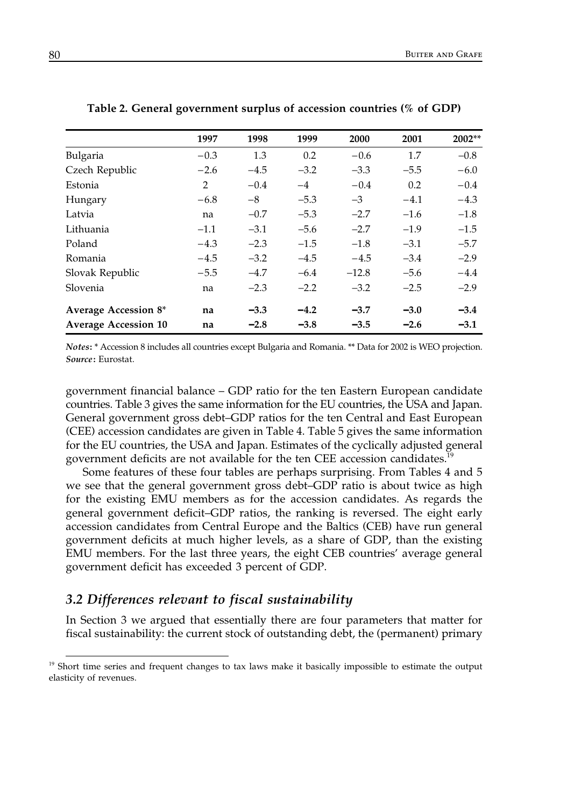|                             | 1997   | 1998   | 1999   | 2000    | 2001   | 2002** |
|-----------------------------|--------|--------|--------|---------|--------|--------|
| Bulgaria                    | $-0.3$ | 1.3    | 0.2    | $-0.6$  | 1.7    | $-0.8$ |
| Czech Republic              | $-2.6$ | $-4.5$ | $-3.2$ | $-3.3$  | $-5.5$ | $-6.0$ |
| Estonia                     | 2      | $-0.4$ | $-4$   | $-0.4$  | 0.2    | $-0.4$ |
| Hungary                     | $-6.8$ | $-8$   | $-5.3$ | $-3$    | $-4.1$ | $-4.3$ |
| Latvia                      | na     | $-0.7$ | $-5.3$ | $-2.7$  | $-1.6$ | $-1.8$ |
| Lithuania                   | $-1.1$ | $-3.1$ | $-5.6$ | $-2.7$  | $-1.9$ | $-1.5$ |
| Poland                      | $-4.3$ | $-2.3$ | $-1.5$ | $-1.8$  | $-3.1$ | $-5.7$ |
| Romania                     | $-4.5$ | $-3.2$ | $-4.5$ | $-4.5$  | $-3.4$ | $-2.9$ |
| Slovak Republic             | $-5.5$ | $-4.7$ | $-6.4$ | $-12.8$ | $-5.6$ | $-4.4$ |
| Slovenia                    | na     | $-2.3$ | $-2.2$ | $-3.2$  | $-2.5$ | $-2.9$ |
| <b>Average Accession 8*</b> | na     | $-3.3$ | $-4.2$ | $-3.7$  | $-3.0$ | $-3.4$ |
| <b>Average Accession 10</b> | na     | $-2.8$ | $-3.8$ | $-3.5$  | $-2.6$ | $-3.1$ |

**Table 2. General government surplus of accession countries (% of GDP)**

*Notes***:** \* Accession 8 includes all countries except Bulgaria and Romania. \*\* Data for 2002 is WEO projection. *Source***:** Eurostat.

government financial balance – GDP ratio for the ten Eastern European candidate countries. Table 3 gives the same information for the EU countries, the USA and Japan. General government gross debt–GDP ratios for the ten Central and East European (CEE) accession candidates are given in Table 4. Table 5 gives the same information for the EU countries, the USA and Japan. Estimates of the cyclically adjusted general government deficits are not available for the ten CEE accession candidates.<sup>1</sup>

Some features of these four tables are perhaps surprising. From Tables 4 and 5 we see that the general government gross debt–GDP ratio is about twice as high for the existing EMU members as for the accession candidates. As regards the general government deficit–GDP ratios, the ranking is reversed. The eight early accession candidates from Central Europe and the Baltics (CEB) have run general government deficits at much higher levels, as a share of GDP, than the existing EMU members. For the last three years, the eight CEB countries' average general government deficit has exceeded 3 percent of GDP.

# *3.2 Differences relevant to fiscal sustainability*

In Section 3 we argued that essentially there are four parameters that matter for fiscal sustainability: the current stock of outstanding debt, the (permanent) primary

<sup>&</sup>lt;sup>19</sup> Short time series and frequent changes to tax laws make it basically impossible to estimate the output elasticity of revenues.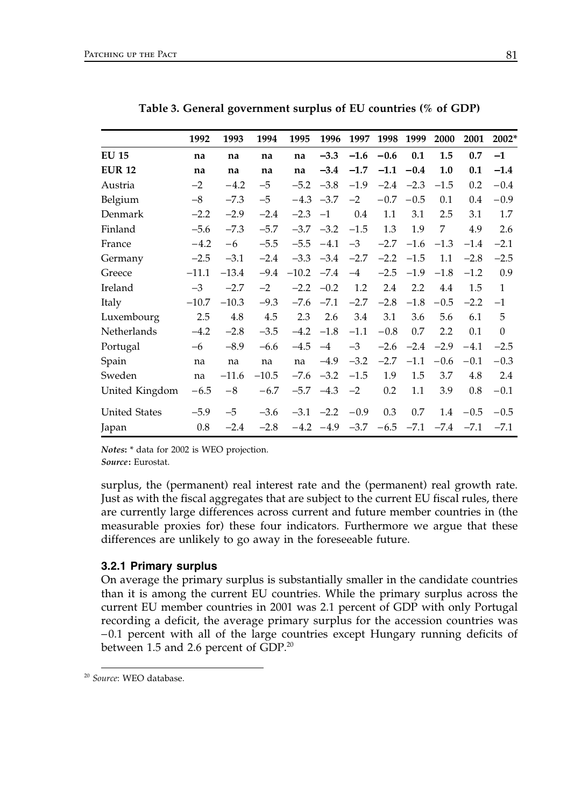|                      | 1992    | 1993    | 1994    | 1995           | 1996                 | 1997   | 1998   | 1999          | 2000   | 2001   | $2002*$      |
|----------------------|---------|---------|---------|----------------|----------------------|--------|--------|---------------|--------|--------|--------------|
| <b>EU 15</b>         | na      | na      | na      | na             | $-3.3$               | $-1.6$ | $-0.6$ | 0.1           | 1.5    | 0.7    | $-1$         |
| <b>EUR 12</b>        | na      | na      | na      | na             | $-3.4$               | $-1.7$ | $-1.1$ | $-0.4$        | 1.0    | 0.1    | $-1.4$       |
| Austria              | $-2$    | $-4.2$  | $-5$    |                | $-5.2 -3.8$          | $-1.9$ |        | $-2.4$ $-2.3$ | $-1.5$ | 0.2    | $-0.4$       |
| Belgium              | $-8$    | $-7.3$  | $-5$    |                | $-4.3 -3.7$          | $-2$   | $-0.7$ | $-0.5$        | 0.1    | 0.4    | $-0.9$       |
| Denmark              | $-2.2$  | $-2.9$  | $-2.4$  | $-2.3$         | $-1$                 | 0.4    | 1.1    | 3.1           | 2.5    | 3.1    | 1.7          |
| Finland              | $-5.6$  | $-7.3$  | $-5.7$  |                | $-3.7 -3.2$          | $-1.5$ | 1.3    | 1.9           | 7      | 4.9    | 2.6          |
| France               | $-4.2$  | $-6$    | $-5.5$  |                | $-5.5 -4.1$          | $-3$   | $-2.7$ | $-1.6$        | $-1.3$ | $-1.4$ | $-2.1$       |
| Germany              | $-2.5$  | $-3.1$  | $-2.4$  |                | $-3.3 -3.4$          | $-2.7$ | $-2.2$ | $-1.5$        | 1.1    | $-2.8$ | $-2.5$       |
| Greece               | $-11.1$ | $-13.4$ | $-9.4$  | $-10.2$ $-7.4$ |                      | $-4$   | $-2.5$ | $-1.9$        | $-1.8$ | $-1.2$ | 0.9          |
| Ireland              | $-3$    | $-2.7$  | $-2$    |                | $-2.2 -0.2$          | 1.2    | 2.4    | 2.2           | 4.4    | 1.5    | $\mathbf{1}$ |
| Italy                | $-10.7$ | $-10.3$ | $-9.3$  |                | $-7.6$ $-7.1$        | $-2.7$ | $-2.8$ | $-1.8$        | $-0.5$ | $-2.2$ | $-1$         |
| Luxembourg           | 2.5     | 4.8     | 4.5     | 2.3            | 2.6                  | 3.4    | 3.1    | 3.6           | 5.6    | 6.1    | 5            |
| Netherlands          | $-4.2$  | $-2.8$  | $-3.5$  | $-4.2$         | $-1.8$               | $-1.1$ | $-0.8$ | 0.7           | 2.2    | 0.1    | $\theta$     |
| Portugal             | -6      | $-8.9$  | $-6.6$  | $-4.5$         | $-4$                 | $-3$   | $-2.6$ | $-2.4$        | $-2.9$ | $-4.1$ | $-2.5$       |
| Spain                | na      | na      | na      | na             | $-4.9$               | $-3.2$ | $-2.7$ | $-1.1$        | $-0.6$ | $-0.1$ | $-0.3$       |
| Sweden               | na      | $-11.6$ | $-10.5$ |                | $-7.6$ $-3.2$        | $-1.5$ | 1.9    | 1.5           | 3.7    | 4.8    | 2.4          |
| United Kingdom       | $-6.5$  | $-8$    | $-6.7$  |                | $-5.7 -4.3$          | $-2$   | 0.2    | 1.1           | 3.9    | 0.8    | $-0.1$       |
| <b>United States</b> | $-5.9$  | $-5$    | $-3.6$  |                | $-3.1 -2.2$          | $-0.9$ | 0.3    | 0.7           | 1.4    | $-0.5$ | $-0.5$       |
| Japan                | 0.8     | $-2.4$  | $-2.8$  |                | $-4.2$ $-4.9$ $-3.7$ |        | $-6.5$ | $-7.1$        | $-7.4$ | $-7.1$ | $-7.1$       |

**Table 3. General government surplus of EU countries (% of GDP)**

*Notes***:** \* data for 2002 is WEO projection. *Source***:** Eurostat.

surplus, the (permanent) real interest rate and the (permanent) real growth rate. Just as with the fiscal aggregates that are subject to the current EU fiscal rules, there are currently large differences across current and future member countries in (the measurable proxies for) these four indicators. Furthermore we argue that these differences are unlikely to go away in the foreseeable future.

## **3.2.1 Primary surplus**

On average the primary surplus is substantially smaller in the candidate countries than it is among the current EU countries. While the primary surplus across the current EU member countries in 2001 was 2.1 percent of GDP with only Portugal recording a deficit, the average primary surplus for the accession countries was −0.1 percent with all of the large countries except Hungary running deficits of between 1.5 and 2.6 percent of GDP.<sup>20</sup>

<sup>20</sup> *Source*: WEO database.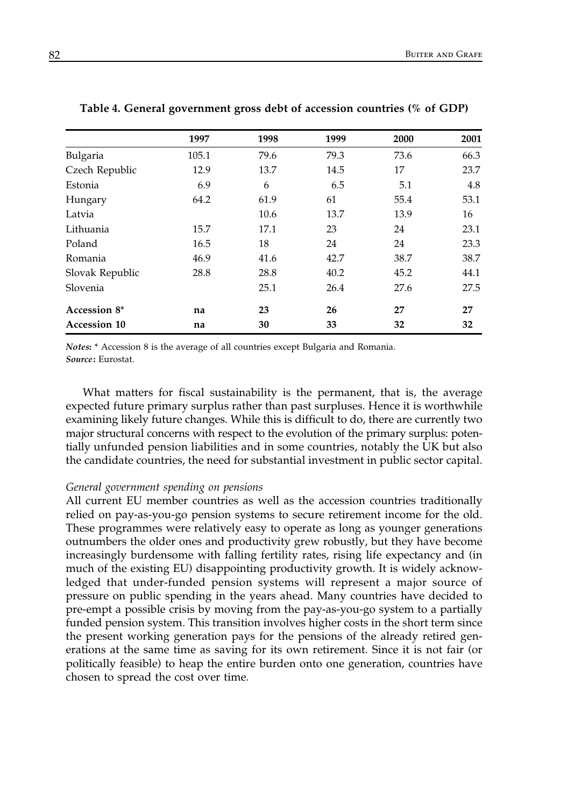|                     | 1997  | 1998 | 1999 | 2000 | 2001 |
|---------------------|-------|------|------|------|------|
| Bulgaria            | 105.1 | 79.6 | 79.3 | 73.6 | 66.3 |
| Czech Republic      | 12.9  | 13.7 | 14.5 | 17   | 23.7 |
| Estonia             | 6.9   | 6    | 6.5  | 5.1  | 4.8  |
| Hungary             | 64.2  | 61.9 | 61   | 55.4 | 53.1 |
| Latvia              |       | 10.6 | 13.7 | 13.9 | 16   |
| Lithuania           | 15.7  | 17.1 | 23   | 24   | 23.1 |
| Poland              | 16.5  | 18   | 24   | 24   | 23.3 |
| Romania             | 46.9  | 41.6 | 42.7 | 38.7 | 38.7 |
| Slovak Republic     | 28.8  | 28.8 | 40.2 | 45.2 | 44.1 |
| Slovenia            |       | 25.1 | 26.4 | 27.6 | 27.5 |
| Accession 8*        | na    | 23   | 26   | 27   | 27   |
| <b>Accession 10</b> | na    | 30   | 33   | 32   | 32   |

#### **Table 4. General government gross debt of accession countries (% of GDP)**

*Notes***:** \* Accession 8 is the average of all countries except Bulgaria and Romania. *Source***:** Eurostat.

What matters for fiscal sustainability is the permanent, that is, the average expected future primary surplus rather than past surpluses. Hence it is worthwhile examining likely future changes. While this is difficult to do, there are currently two major structural concerns with respect to the evolution of the primary surplus: potentially unfunded pension liabilities and in some countries, notably the UK but also the candidate countries, the need for substantial investment in public sector capital.

#### *General government spending on pensions*

All current EU member countries as well as the accession countries traditionally relied on pay-as-you-go pension systems to secure retirement income for the old. These programmes were relatively easy to operate as long as younger generations outnumbers the older ones and productivity grew robustly, but they have become increasingly burdensome with falling fertility rates, rising life expectancy and (in much of the existing EU) disappointing productivity growth. It is widely acknowledged that under-funded pension systems will represent a major source of pressure on public spending in the years ahead. Many countries have decided to pre-empt a possible crisis by moving from the pay-as-you-go system to a partially funded pension system. This transition involves higher costs in the short term since the present working generation pays for the pensions of the already retired generations at the same time as saving for its own retirement. Since it is not fair (or politically feasible) to heap the entire burden onto one generation, countries have chosen to spread the cost over time.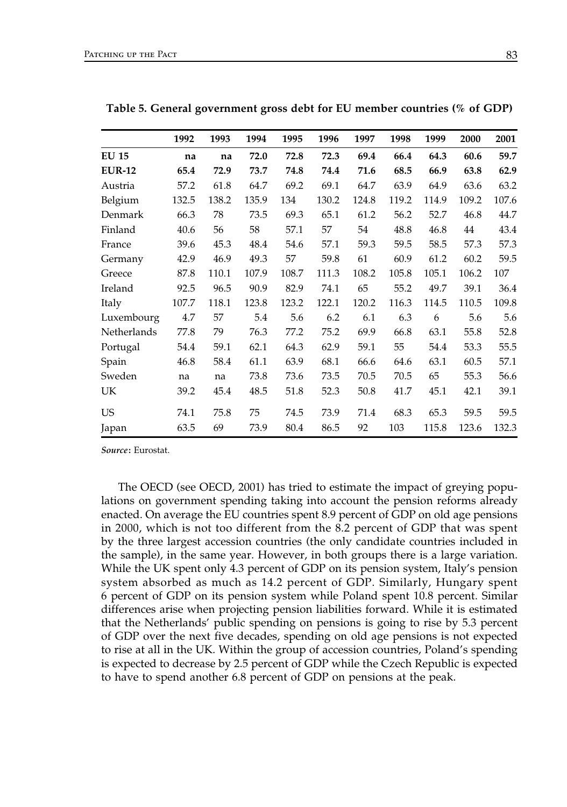|               | 1992  | 1993  | 1994  | 1995  | 1996  | 1997  | 1998  | 1999  | 2000  | 2001  |
|---------------|-------|-------|-------|-------|-------|-------|-------|-------|-------|-------|
| <b>EU 15</b>  | na    | na    | 72.0  | 72.8  | 72.3  | 69.4  | 66.4  | 64.3  | 60.6  | 59.7  |
| <b>EUR-12</b> | 65.4  | 72.9  | 73.7  | 74.8  | 74.4  | 71.6  | 68.5  | 66.9  | 63.8  | 62.9  |
| Austria       | 57.2  | 61.8  | 64.7  | 69.2  | 69.1  | 64.7  | 63.9  | 64.9  | 63.6  | 63.2  |
| Belgium       | 132.5 | 138.2 | 135.9 | 134   | 130.2 | 124.8 | 119.2 | 114.9 | 109.2 | 107.6 |
| Denmark       | 66.3  | 78    | 73.5  | 69.3  | 65.1  | 61.2  | 56.2  | 52.7  | 46.8  | 44.7  |
| Finland       | 40.6  | 56    | 58    | 57.1  | 57    | 54    | 48.8  | 46.8  | 44    | 43.4  |
| France        | 39.6  | 45.3  | 48.4  | 54.6  | 57.1  | 59.3  | 59.5  | 58.5  | 57.3  | 57.3  |
| Germany       | 42.9  | 46.9  | 49.3  | 57    | 59.8  | 61    | 60.9  | 61.2  | 60.2  | 59.5  |
| Greece        | 87.8  | 110.1 | 107.9 | 108.7 | 111.3 | 108.2 | 105.8 | 105.1 | 106.2 | 107   |
| Ireland       | 92.5  | 96.5  | 90.9  | 82.9  | 74.1  | 65    | 55.2  | 49.7  | 39.1  | 36.4  |
| Italy         | 107.7 | 118.1 | 123.8 | 123.2 | 122.1 | 120.2 | 116.3 | 114.5 | 110.5 | 109.8 |
| Luxembourg    | 4.7   | 57    | 5.4   | 5.6   | 6.2   | 6.1   | 6.3   | 6     | 5.6   | 5.6   |
| Netherlands   | 77.8  | 79    | 76.3  | 77.2  | 75.2  | 69.9  | 66.8  | 63.1  | 55.8  | 52.8  |
| Portugal      | 54.4  | 59.1  | 62.1  | 64.3  | 62.9  | 59.1  | 55    | 54.4  | 53.3  | 55.5  |
| Spain         | 46.8  | 58.4  | 61.1  | 63.9  | 68.1  | 66.6  | 64.6  | 63.1  | 60.5  | 57.1  |
| Sweden        | na    | na    | 73.8  | 73.6  | 73.5  | 70.5  | 70.5  | 65    | 55.3  | 56.6  |
| UK            | 39.2  | 45.4  | 48.5  | 51.8  | 52.3  | 50.8  | 41.7  | 45.1  | 42.1  | 39.1  |
| <b>US</b>     | 74.1  | 75.8  | 75    | 74.5  | 73.9  | 71.4  | 68.3  | 65.3  | 59.5  | 59.5  |
| Japan         | 63.5  | 69    | 73.9  | 80.4  | 86.5  | 92    | 103   | 115.8 | 123.6 | 132.3 |

**Table 5. General government gross debt for EU member countries (% of GDP)**

*Source***:** Eurostat.

The OECD (see OECD, 2001) has tried to estimate the impact of greying populations on government spending taking into account the pension reforms already enacted. On average the EU countries spent 8.9 percent of GDP on old age pensions in 2000, which is not too different from the 8.2 percent of GDP that was spent by the three largest accession countries (the only candidate countries included in the sample), in the same year. However, in both groups there is a large variation. While the UK spent only 4.3 percent of GDP on its pension system, Italy's pension system absorbed as much as 14.2 percent of GDP. Similarly, Hungary spent 6 percent of GDP on its pension system while Poland spent 10.8 percent. Similar differences arise when projecting pension liabilities forward. While it is estimated that the Netherlands' public spending on pensions is going to rise by 5.3 percent of GDP over the next five decades, spending on old age pensions is not expected to rise at all in the UK. Within the group of accession countries, Poland's spending is expected to decrease by 2.5 percent of GDP while the Czech Republic is expected to have to spend another 6.8 percent of GDP on pensions at the peak.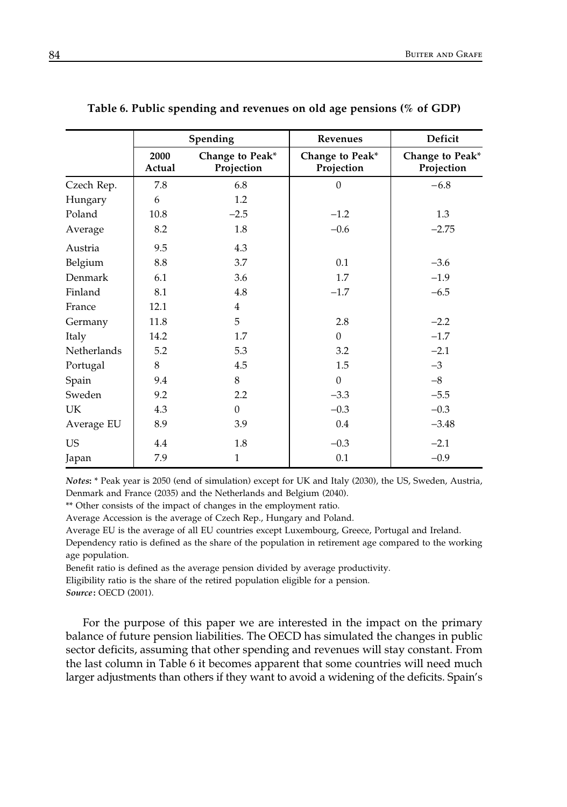|             |                | Spending                      | <b>Revenues</b>               | Deficit                       |
|-------------|----------------|-------------------------------|-------------------------------|-------------------------------|
|             | 2000<br>Actual | Change to Peak*<br>Projection | Change to Peak*<br>Projection | Change to Peak*<br>Projection |
| Czech Rep.  | 7.8            | 6.8                           | $\Omega$                      | $-6.8$                        |
| Hungary     | 6              | 1.2                           |                               |                               |
| Poland      | 10.8           | $-2.5$                        | $-1.2$                        | 1.3                           |
| Average     | 8.2            | 1.8                           | $-0.6$                        | $-2.75$                       |
| Austria     | 9.5            | 4.3                           |                               |                               |
| Belgium     | 8.8            | 3.7                           | 0.1                           | $-3.6$                        |
| Denmark     | 6.1            | 3.6                           | 1.7                           | $-1.9$                        |
| Finland     | 8.1            | 4.8                           | $-1.7$                        | $-6.5$                        |
| France      | 12.1           | 4                             |                               |                               |
| Germany     | 11.8           | 5                             | 2.8                           | $-2.2$                        |
| Italy       | 14.2           | 1.7                           | $\theta$                      | $-1.7$                        |
| Netherlands | 5.2            | 5.3                           | 3.2                           | $-2.1$                        |
| Portugal    | 8              | 4.5                           | 1.5                           | $-3$                          |
| Spain       | 9.4            | 8                             | $\mathbf{0}$                  | $-8$                          |
| Sweden      | 9.2            | 2.2                           | $-3.3$                        | $-5.5$                        |
| UK          | 4.3            | $\theta$                      | $-0.3$                        | $-0.3$                        |
| Average EU  | 8.9            | 3.9                           | 0.4                           | $-3.48$                       |
| <b>US</b>   | 4.4            | 1.8                           | $-0.3$                        | $-2.1$                        |
| Japan       | 7.9            | $\mathbf{1}$                  | 0.1                           | $-0.9$                        |

## **Table 6. Public spending and revenues on old age pensions (% of GDP)**

*Notes***:** \* Peak year is 2050 (end of simulation) except for UK and Italy (2030), the US, Sweden, Austria, Denmark and France (2035) and the Netherlands and Belgium (2040).

\*\* Other consists of the impact of changes in the employment ratio.

Average Accession is the average of Czech Rep., Hungary and Poland.

Average EU is the average of all EU countries except Luxembourg, Greece, Portugal and Ireland.

Dependency ratio is defined as the share of the population in retirement age compared to the working age population.

Benefit ratio is defined as the average pension divided by average productivity.

Eligibility ratio is the share of the retired population eligible for a pension.

*Source***:** OECD (2001).

For the purpose of this paper we are interested in the impact on the primary balance of future pension liabilities. The OECD has simulated the changes in public sector deficits, assuming that other spending and revenues will stay constant. From the last column in Table 6 it becomes apparent that some countries will need much larger adjustments than others if they want to avoid a widening of the deficits. Spain's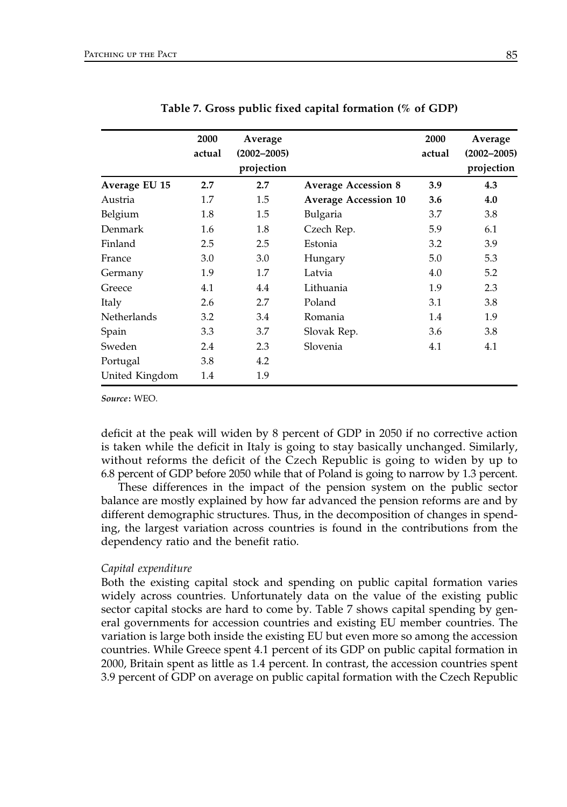|                | 2000<br>actual | Average<br>$(2002 - 2005)$<br>projection |                             | 2000<br>actual | Average<br>$(2002 - 2005)$<br>projection |
|----------------|----------------|------------------------------------------|-----------------------------|----------------|------------------------------------------|
| Average EU 15  | 2.7            | 2.7                                      | <b>Average Accession 8</b>  | 3.9            | 4.3                                      |
| Austria        | 1.7            | 1.5                                      | <b>Average Accession 10</b> | 3.6            | 4.0                                      |
| Belgium        | 1.8            | 1.5                                      | Bulgaria                    | 3.7            | 3.8                                      |
| Denmark        | 1.6            | 1.8                                      | Czech Rep.                  | 5.9            | 6.1                                      |
| Finland        | 2.5            | 2.5                                      | Estonia                     | 3.2            | 3.9                                      |
| France         | 3.0            | 3.0                                      | Hungary                     | 5.0            | 5.3                                      |
| Germany        | 1.9            | 1.7                                      | Latvia                      | 4.0            | 5.2                                      |
| Greece         | 4.1            | 4.4                                      | Lithuania                   | 1.9            | 2.3                                      |
| Italy          | 2.6            | 2.7                                      | Poland                      | 3.1            | 3.8                                      |
| Netherlands    | 3.2            | 3.4                                      | Romania                     | 1.4            | 1.9                                      |
| Spain          | 3.3            | 3.7                                      | Slovak Rep.                 | 3.6            | 3.8                                      |
| Sweden         | 2.4            | 2.3                                      | Slovenia                    | 4.1            | 4.1                                      |
| Portugal       | 3.8            | 4.2                                      |                             |                |                                          |
| United Kingdom | 1.4            | 1.9                                      |                             |                |                                          |

**Table 7. Gross public fixed capital formation (% of GDP)**

*Source***:** WEO.

deficit at the peak will widen by 8 percent of GDP in 2050 if no corrective action is taken while the deficit in Italy is going to stay basically unchanged. Similarly, without reforms the deficit of the Czech Republic is going to widen by up to 6.8 percent of GDP before 2050 while that of Poland is going to narrow by 1.3 percent.

These differences in the impact of the pension system on the public sector balance are mostly explained by how far advanced the pension reforms are and by different demographic structures. Thus, in the decomposition of changes in spending, the largest variation across countries is found in the contributions from the dependency ratio and the benefit ratio.

#### *Capital expenditure*

Both the existing capital stock and spending on public capital formation varies widely across countries. Unfortunately data on the value of the existing public sector capital stocks are hard to come by. Table 7 shows capital spending by general governments for accession countries and existing EU member countries. The variation is large both inside the existing EU but even more so among the accession countries. While Greece spent 4.1 percent of its GDP on public capital formation in 2000, Britain spent as little as 1.4 percent. In contrast, the accession countries spent 3.9 percent of GDP on average on public capital formation with the Czech Republic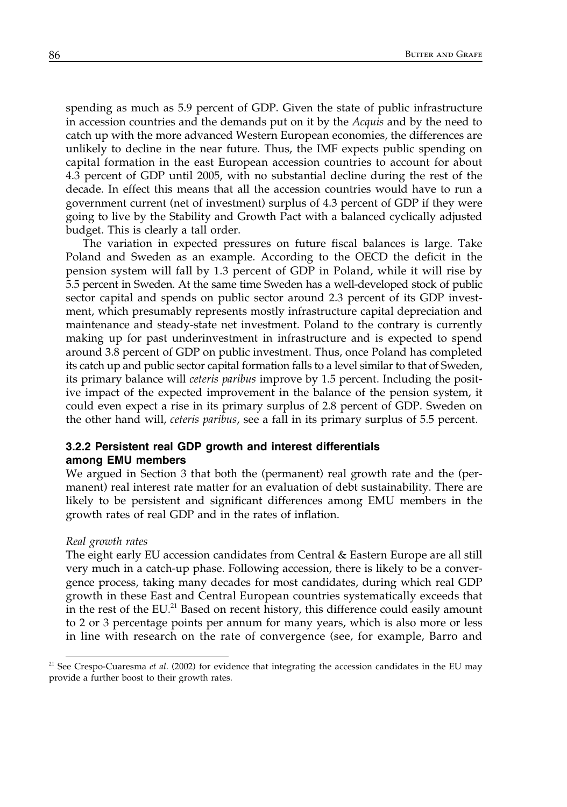spending as much as 5.9 percent of GDP. Given the state of public infrastructure in accession countries and the demands put on it by the *Acquis* and by the need to catch up with the more advanced Western European economies, the differences are unlikely to decline in the near future. Thus, the IMF expects public spending on capital formation in the east European accession countries to account for about 4.3 percent of GDP until 2005, with no substantial decline during the rest of the decade. In effect this means that all the accession countries would have to run a government current (net of investment) surplus of 4.3 percent of GDP if they were going to live by the Stability and Growth Pact with a balanced cyclically adjusted budget. This is clearly a tall order.

The variation in expected pressures on future fiscal balances is large. Take Poland and Sweden as an example. According to the OECD the deficit in the pension system will fall by 1.3 percent of GDP in Poland, while it will rise by 5.5 percent in Sweden. At the same time Sweden has a well-developed stock of public sector capital and spends on public sector around 2.3 percent of its GDP investment, which presumably represents mostly infrastructure capital depreciation and maintenance and steady-state net investment. Poland to the contrary is currently making up for past underinvestment in infrastructure and is expected to spend around 3.8 percent of GDP on public investment. Thus, once Poland has completed its catch up and public sector capital formation falls to a level similar to that of Sweden, its primary balance will *ceteris paribus* improve by 1.5 percent. Including the positive impact of the expected improvement in the balance of the pension system, it could even expect a rise in its primary surplus of 2.8 percent of GDP. Sweden on the other hand will, *ceteris paribus*, see a fall in its primary surplus of 5.5 percent.

## **3.2.2 Persistent real GDP growth and interest differentials among EMU members**

We argued in Section 3 that both the (permanent) real growth rate and the (permanent) real interest rate matter for an evaluation of debt sustainability. There are likely to be persistent and significant differences among EMU members in the growth rates of real GDP and in the rates of inflation.

#### *Real growth rates*

The eight early EU accession candidates from Central & Eastern Europe are all still very much in a catch-up phase. Following accession, there is likely to be a convergence process, taking many decades for most candidates, during which real GDP growth in these East and Central European countries systematically exceeds that in the rest of the EU.<sup>21</sup> Based on recent history, this difference could easily amount to 2 or 3 percentage points per annum for many years, which is also more or less in line with research on the rate of convergence (see, for example, Barro and

<sup>21</sup> See Crespo-Cuaresma *et al.* (2002) for evidence that integrating the accession candidates in the EU may provide a further boost to their growth rates.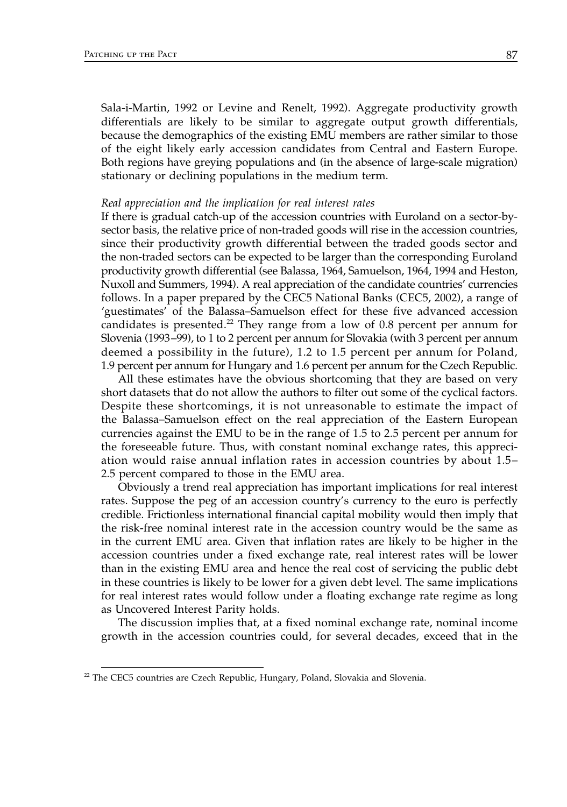Sala-i-Martin, 1992 or Levine and Renelt, 1992). Aggregate productivity growth differentials are likely to be similar to aggregate output growth differentials, because the demographics of the existing EMU members are rather similar to those of the eight likely early accession candidates from Central and Eastern Europe. Both regions have greying populations and (in the absence of large-scale migration) stationary or declining populations in the medium term.

#### *Real appreciation and the implication for real interest rates*

If there is gradual catch-up of the accession countries with Euroland on a sector-bysector basis, the relative price of non-traded goods will rise in the accession countries, since their productivity growth differential between the traded goods sector and the non-traded sectors can be expected to be larger than the corresponding Euroland productivity growth differential (see Balassa, 1964, Samuelson, 1964, 1994 and Heston, Nuxoll and Summers, 1994). A real appreciation of the candidate countries' currencies follows. In a paper prepared by the CEC5 National Banks (CEC5, 2002), a range of 'guestimates' of the Balassa–Samuelson effect for these five advanced accession candidates is presented.<sup>22</sup> They range from a low of 0.8 percent per annum for Slovenia (1993–99), to 1 to 2 percent per annum for Slovakia (with 3 percent per annum deemed a possibility in the future), 1.2 to 1.5 percent per annum for Poland, 1.9 percent per annum for Hungary and 1.6 percent per annum for the Czech Republic.

All these estimates have the obvious shortcoming that they are based on very short datasets that do not allow the authors to filter out some of the cyclical factors. Despite these shortcomings, it is not unreasonable to estimate the impact of the Balassa–Samuelson effect on the real appreciation of the Eastern European currencies against the EMU to be in the range of 1.5 to 2.5 percent per annum for the foreseeable future. Thus, with constant nominal exchange rates, this appreciation would raise annual inflation rates in accession countries by about 1.5– 2.5 percent compared to those in the EMU area.

Obviously a trend real appreciation has important implications for real interest rates. Suppose the peg of an accession country's currency to the euro is perfectly credible. Frictionless international financial capital mobility would then imply that the risk-free nominal interest rate in the accession country would be the same as in the current EMU area. Given that inflation rates are likely to be higher in the accession countries under a fixed exchange rate, real interest rates will be lower than in the existing EMU area and hence the real cost of servicing the public debt in these countries is likely to be lower for a given debt level. The same implications for real interest rates would follow under a floating exchange rate regime as long as Uncovered Interest Parity holds.

The discussion implies that, at a fixed nominal exchange rate, nominal income growth in the accession countries could, for several decades, exceed that in the

 $22$  The CEC5 countries are Czech Republic, Hungary, Poland, Slovakia and Slovenia.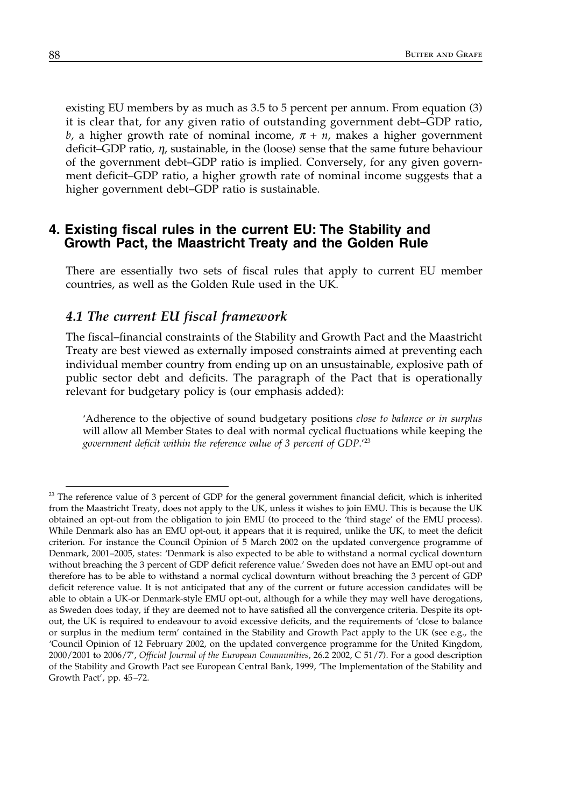existing EU members by as much as 3.5 to 5 percent per annum. From equation (3) it is clear that, for any given ratio of outstanding government debt–GDP ratio, *b*, a higher growth rate of nominal income,  $\pi + n$ , makes a higher government deficit–GDP ratio,  $\eta$ , sustainable, in the (loose) sense that the same future behaviour of the government debt–GDP ratio is implied. Conversely, for any given government deficit–GDP ratio, a higher growth rate of nominal income suggests that a higher government debt–GDP ratio is sustainable.

# **4. Existing fiscal rules in the current EU: The Stability and Growth Pact, the Maastricht Treaty and the Golden Rule**

There are essentially two sets of fiscal rules that apply to current EU member countries, as well as the Golden Rule used in the UK.

# *4.1 The current EU fiscal framework*

The fiscal–financial constraints of the Stability and Growth Pact and the Maastricht Treaty are best viewed as externally imposed constraints aimed at preventing each individual member country from ending up on an unsustainable, explosive path of public sector debt and deficits. The paragraph of the Pact that is operationally relevant for budgetary policy is (our emphasis added):

'Adherence to the objective of sound budgetary positions *close to balance or in surplus* will allow all Member States to deal with normal cyclical fluctuations while keeping the *government deficit within the reference value of 3 percent of GDP*.'23

 $23$  The reference value of 3 percent of GDP for the general government financial deficit, which is inherited from the Maastricht Treaty, does not apply to the UK, unless it wishes to join EMU. This is because the UK obtained an opt-out from the obligation to join EMU (to proceed to the 'third stage' of the EMU process). While Denmark also has an EMU opt-out, it appears that it is required, unlike the UK, to meet the deficit criterion. For instance the Council Opinion of 5 March 2002 on the updated convergence programme of Denmark, 2001–2005, states: 'Denmark is also expected to be able to withstand a normal cyclical downturn without breaching the 3 percent of GDP deficit reference value.' Sweden does not have an EMU opt-out and therefore has to be able to withstand a normal cyclical downturn without breaching the 3 percent of GDP deficit reference value. It is not anticipated that any of the current or future accession candidates will be able to obtain a UK-or Denmark-style EMU opt-out, although for a while they may well have derogations, as Sweden does today, if they are deemed not to have satisfied all the convergence criteria. Despite its optout, the UK is required to endeavour to avoid excessive deficits, and the requirements of 'close to balance or surplus in the medium term' contained in the Stability and Growth Pact apply to the UK (see e.g., the 'Council Opinion of 12 February 2002, on the updated convergence programme for the United Kingdom, 2000/2001 to 2006/7', *Official Journal of the European Communities*, 26.2 2002, C 51/7). For a good description of the Stability and Growth Pact see European Central Bank, 1999, 'The Implementation of the Stability and Growth Pact', pp. 45–72.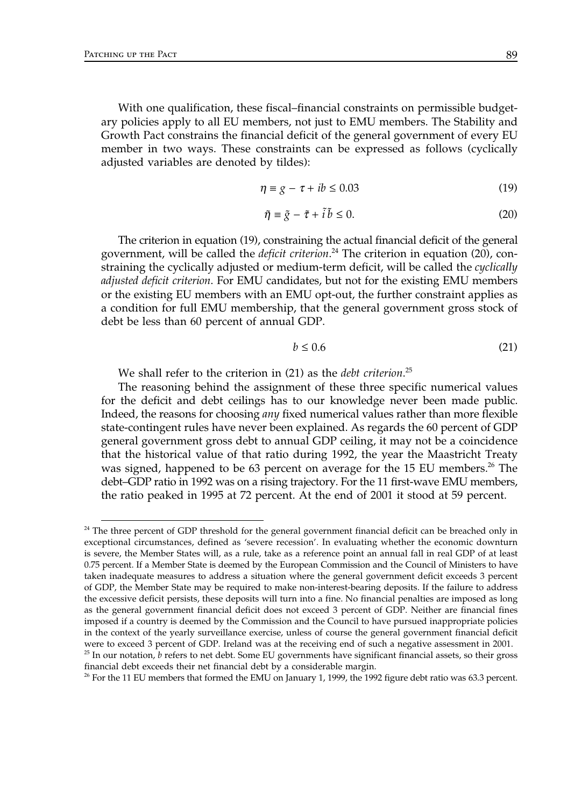With one qualification, these fiscal–financial constraints on permissible budgetary policies apply to all EU members, not just to EMU members. The Stability and Growth Pact constrains the financial deficit of the general government of every EU member in two ways. These constraints can be expressed as follows (cyclically adjusted variables are denoted by tildes):

$$
\eta \equiv g - \tau + ib \le 0.03\tag{19}
$$

$$
\tilde{\eta} = \tilde{g} - \tilde{\tau} + i \tilde{b} \le 0. \tag{20}
$$

The criterion in equation (19), constraining the actual financial deficit of the general government, will be called the *deficit criterion*. <sup>24</sup> The criterion in equation (20), constraining the cyclically adjusted or medium-term deficit, will be called the *cyclically adjusted deficit criterion*. For EMU candidates, but not for the existing EMU members or the existing EU members with an EMU opt-out, the further constraint applies as a condition for full EMU membership, that the general government gross stock of debt be less than 60 percent of annual GDP.

$$
b \le 0.6 \tag{21}
$$

We shall refer to the criterion in (21) as the *debt criterion*. 25

The reasoning behind the assignment of these three specific numerical values for the deficit and debt ceilings has to our knowledge never been made public. Indeed, the reasons for choosing *any* fixed numerical values rather than more flexible state-contingent rules have never been explained. As regards the 60 percent of GDP general government gross debt to annual GDP ceiling, it may not be a coincidence that the historical value of that ratio during 1992, the year the Maastricht Treaty was signed, happened to be 63 percent on average for the 15 EU members.<sup>26</sup> The debt–GDP ratio in 1992 was on a rising trajectory. For the 11 first-wave EMU members, the ratio peaked in 1995 at 72 percent. At the end of 2001 it stood at 59 percent.

 $24$  The three percent of GDP threshold for the general government financial deficit can be breached only in exceptional circumstances, defined as 'severe recession'. In evaluating whether the economic downturn is severe, the Member States will, as a rule, take as a reference point an annual fall in real GDP of at least 0.75 percent. If a Member State is deemed by the European Commission and the Council of Ministers to have taken inadequate measures to address a situation where the general government deficit exceeds 3 percent of GDP, the Member State may be required to make non-interest-bearing deposits. If the failure to address the excessive deficit persists, these deposits will turn into a fine. No financial penalties are imposed as long as the general government financial deficit does not exceed 3 percent of GDP. Neither are financial fines imposed if a country is deemed by the Commission and the Council to have pursued inappropriate policies in the context of the yearly surveillance exercise, unless of course the general government financial deficit were to exceed 3 percent of GDP. Ireland was at the receiving end of such a negative assessment in 2001.

<sup>&</sup>lt;sup>25</sup> In our notation, *b* refers to net debt. Some EU governments have significant financial assets, so their gross financial debt exceeds their net financial debt by a considerable margin.

<sup>&</sup>lt;sup>26</sup> For the 11 EU members that formed the EMU on January 1, 1999, the 1992 figure debt ratio was 63.3 percent.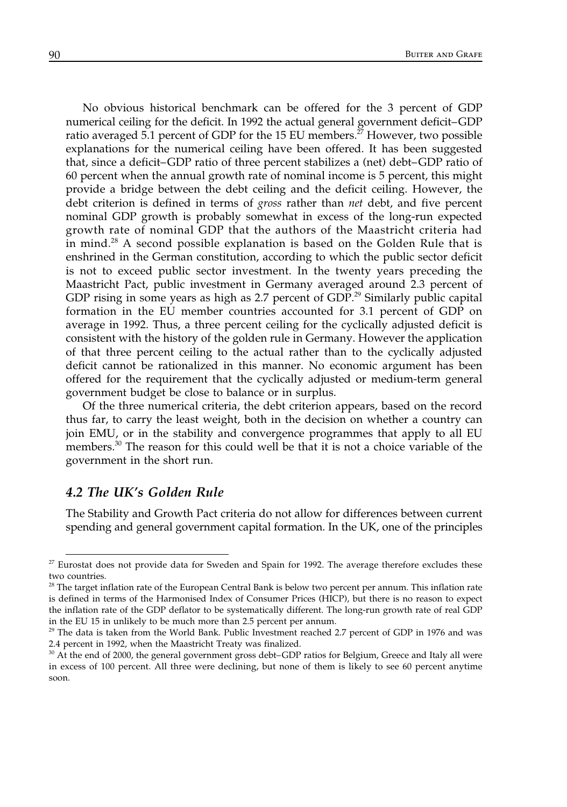No obvious historical benchmark can be offered for the 3 percent of GDP numerical ceiling for the deficit. In 1992 the actual general government deficit–GDP ratio averaged 5.1 percent of GDP for the 15 EU members.<sup>27</sup> However, two possible explanations for the numerical ceiling have been offered. It has been suggested that, since a deficit–GDP ratio of three percent stabilizes a (net) debt–GDP ratio of 60 percent when the annual growth rate of nominal income is 5 percent, this might provide a bridge between the debt ceiling and the deficit ceiling. However, the debt criterion is defined in terms of *gross* rather than *net* debt, and five percent nominal GDP growth is probably somewhat in excess of the long-run expected growth rate of nominal GDP that the authors of the Maastricht criteria had in mind.<sup>28</sup> A second possible explanation is based on the Golden Rule that is enshrined in the German constitution, according to which the public sector deficit is not to exceed public sector investment. In the twenty years preceding the Maastricht Pact, public investment in Germany averaged around 2.3 percent of GDP rising in some years as high as 2.7 percent of GDP.<sup>29</sup> Similarly public capital formation in the EU member countries accounted for 3.1 percent of GDP on average in 1992. Thus, a three percent ceiling for the cyclically adjusted deficit is consistent with the history of the golden rule in Germany. However the application of that three percent ceiling to the actual rather than to the cyclically adjusted deficit cannot be rationalized in this manner. No economic argument has been offered for the requirement that the cyclically adjusted or medium-term general government budget be close to balance or in surplus.

Of the three numerical criteria, the debt criterion appears, based on the record thus far, to carry the least weight, both in the decision on whether a country can join EMU, or in the stability and convergence programmes that apply to all EU members.30 The reason for this could well be that it is not a choice variable of the government in the short run.

# *4.2 The UK's Golden Rule*

The Stability and Growth Pact criteria do not allow for differences between current spending and general government capital formation. In the UK, one of the principles

 $27$  Eurostat does not provide data for Sweden and Spain for 1992. The average therefore excludes these two countries.

<sup>&</sup>lt;sup>28</sup> The target inflation rate of the European Central Bank is below two percent per annum. This inflation rate is defined in terms of the Harmonised Index of Consumer Prices (HICP), but there is no reason to expect the inflation rate of the GDP deflator to be systematically different. The long-run growth rate of real GDP in the EU 15 in unlikely to be much more than 2.5 percent per annum.

 $29$  The data is taken from the World Bank. Public Investment reached 2.7 percent of GDP in 1976 and was 2.4 percent in 1992, when the Maastricht Treaty was finalized.

<sup>&</sup>lt;sup>30</sup> At the end of 2000, the general government gross debt-GDP ratios for Belgium, Greece and Italy all were in excess of 100 percent. All three were declining, but none of them is likely to see 60 percent anytime soon.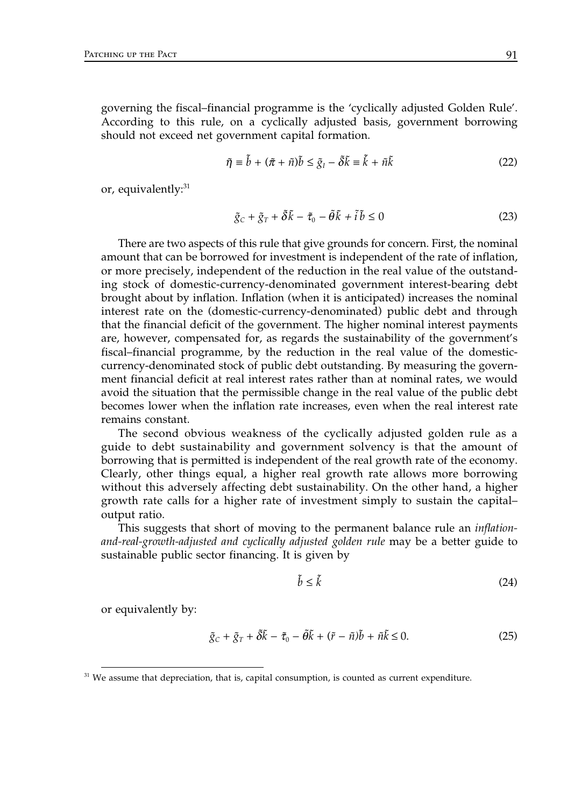governing the fiscal–financial programme is the 'cyclically adjusted Golden Rule'. According to this rule, on a cyclically adjusted basis, government borrowing should not exceed net government capital formation.

$$
\tilde{\eta} \equiv \tilde{b} + (\tilde{\pi} + \tilde{n})\tilde{b} \le \tilde{g}_I - \tilde{\delta}\tilde{k} \equiv \tilde{k} + \tilde{n}\tilde{k}
$$
\n(22)

or, equivalently:<sup>31</sup>

$$
\tilde{g}_C + \tilde{g}_T + \tilde{\delta}\tilde{k} - \tilde{\tau}_0 - \tilde{\theta}\tilde{k} + \tilde{i}\tilde{b} \le 0
$$
\n(23)

There are two aspects of this rule that give grounds for concern. First, the nominal amount that can be borrowed for investment is independent of the rate of inflation, or more precisely, independent of the reduction in the real value of the outstanding stock of domestic-currency-denominated government interest-bearing debt brought about by inflation. Inflation (when it is anticipated) increases the nominal interest rate on the (domestic-currency-denominated) public debt and through that the financial deficit of the government. The higher nominal interest payments are, however, compensated for, as regards the sustainability of the government's fiscal–financial programme, by the reduction in the real value of the domesticcurrency-denominated stock of public debt outstanding. By measuring the government financial deficit at real interest rates rather than at nominal rates, we would avoid the situation that the permissible change in the real value of the public debt becomes lower when the inflation rate increases, even when the real interest rate remains constant.

The second obvious weakness of the cyclically adjusted golden rule as a guide to debt sustainability and government solvency is that the amount of borrowing that is permitted is independent of the real growth rate of the economy. Clearly, other things equal, a higher real growth rate allows more borrowing without this adversely affecting debt sustainability. On the other hand, a higher growth rate calls for a higher rate of investment simply to sustain the capital– output ratio.

This suggests that short of moving to the permanent balance rule an *inflationand-real-growth-adjusted and cyclically adjusted golden rule* may be a better guide to sustainable public sector financing. It is given by

$$
\tilde{b} \le \tilde{k} \tag{24}
$$

or equivalently by:

$$
\tilde{g}_C + \tilde{g}_T + \tilde{\delta}\tilde{k} - \tilde{\tau}_0 - \tilde{\theta}\tilde{k} + (\tilde{r} - \tilde{n})\tilde{b} + \tilde{n}\tilde{k} \le 0.
$$
\n(25)

 $31$  We assume that depreciation, that is, capital consumption, is counted as current expenditure.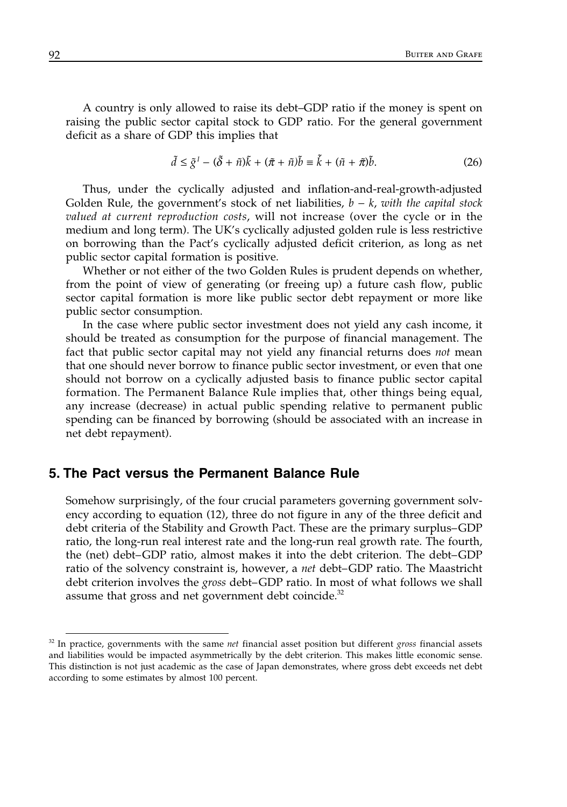A country is only allowed to raise its debt–GDP ratio if the money is spent on raising the public sector capital stock to GDP ratio. For the general government deficit as a share of GDP this implies that

$$
\tilde{d} \leq \tilde{g}^I - (\tilde{\delta} + \tilde{n})\tilde{k} + (\tilde{\pi} + \tilde{n})\tilde{b} \equiv \tilde{k} + (\tilde{n} + \tilde{\pi})\tilde{b}.
$$
 (26)

Thus, under the cyclically adjusted and inflation-and-real-growth-adjusted Golden Rule, the government's stock of net liabilities, *b* − *k*, *with the capital stock valued at current reproduction costs*, will not increase (over the cycle or in the medium and long term). The UK's cyclically adjusted golden rule is less restrictive on borrowing than the Pact's cyclically adjusted deficit criterion, as long as net public sector capital formation is positive.

Whether or not either of the two Golden Rules is prudent depends on whether, from the point of view of generating (or freeing up) a future cash flow, public sector capital formation is more like public sector debt repayment or more like public sector consumption.

In the case where public sector investment does not yield any cash income, it should be treated as consumption for the purpose of financial management. The fact that public sector capital may not yield any financial returns does *not* mean that one should never borrow to finance public sector investment, or even that one should not borrow on a cyclically adjusted basis to finance public sector capital formation. The Permanent Balance Rule implies that, other things being equal, any increase (decrease) in actual public spending relative to permanent public spending can be financed by borrowing (should be associated with an increase in net debt repayment).

## **5. The Pact versus the Permanent Balance Rule**

Somehow surprisingly, of the four crucial parameters governing government solvency according to equation (12), three do not figure in any of the three deficit and debt criteria of the Stability and Growth Pact. These are the primary surplus–GDP ratio, the long-run real interest rate and the long-run real growth rate. The fourth, the (net) debt–GDP ratio, almost makes it into the debt criterion. The debt–GDP ratio of the solvency constraint is, however, a *net* debt–GDP ratio. The Maastricht debt criterion involves the *gross* debt–GDP ratio. In most of what follows we shall assume that gross and net government debt coincide.<sup>32</sup>

<sup>32</sup> In practice, governments with the same *net* financial asset position but different *gross* financial assets and liabilities would be impacted asymmetrically by the debt criterion. This makes little economic sense. This distinction is not just academic as the case of Japan demonstrates, where gross debt exceeds net debt according to some estimates by almost 100 percent.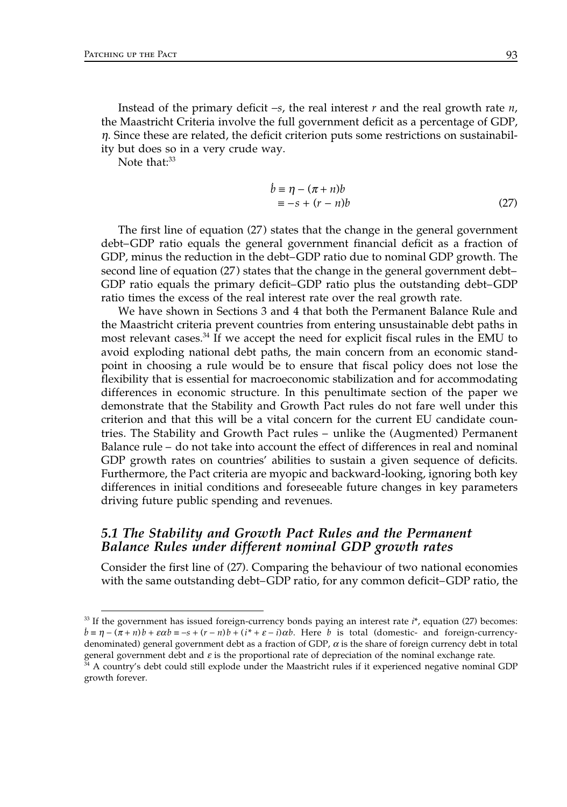Instead of the primary deficit −*s*, the real interest *r* and the real growth rate *n*, the Maastricht Criteria involve the full government deficit as a percentage of GDP,  $\eta$ . Since these are related, the deficit criterion puts some restrictions on sustainability but does so in a very crude way.

Note that<sup>33</sup>

$$
\begin{aligned} \n\dot{b} &= \eta - (\pi + n)b \\ \n&= -s + (r - n)b \n\end{aligned} \tag{27}
$$

The first line of equation (27) states that the change in the general government debt–GDP ratio equals the general government financial deficit as a fraction of GDP, minus the reduction in the debt–GDP ratio due to nominal GDP growth. The second line of equation (27) states that the change in the general government debt– GDP ratio equals the primary deficit–GDP ratio plus the outstanding debt–GDP ratio times the excess of the real interest rate over the real growth rate.

We have shown in Sections 3 and 4 that both the Permanent Balance Rule and the Maastricht criteria prevent countries from entering unsustainable debt paths in most relevant cases.34 If we accept the need for explicit fiscal rules in the EMU to avoid exploding national debt paths, the main concern from an economic standpoint in choosing a rule would be to ensure that fiscal policy does not lose the flexibility that is essential for macroeconomic stabilization and for accommodating differences in economic structure. In this penultimate section of the paper we demonstrate that the Stability and Growth Pact rules do not fare well under this criterion and that this will be a vital concern for the current EU candidate countries. The Stability and Growth Pact rules – unlike the (Augmented) Permanent Balance rule – do not take into account the effect of differences in real and nominal GDP growth rates on countries' abilities to sustain a given sequence of deficits. Furthermore, the Pact criteria are myopic and backward-looking, ignoring both key differences in initial conditions and foreseeable future changes in key parameters driving future public spending and revenues.

# *5.1 The Stability and Growth Pact Rules and the Permanent Balance Rules under different nominal GDP growth rates*

Consider the first line of (27). Comparing the behaviour of two national economies with the same outstanding debt–GDP ratio, for any common deficit–GDP ratio, the

<sup>&</sup>lt;sup>33</sup> If the government has issued foreign-currency bonds paying an interest rate *i*<sup>\*</sup>, equation (27) becomes:  $\dot{b} = \eta - (\pi + n)b + \epsilon \alpha b = -s + (r - n)b + (i^* + \epsilon - i)\alpha b$ . Here *b* is total (domestic- and foreign-currencydenominated) general government debt as a fraction of GDP,  $\alpha$  is the share of foreign currency debt in total general government debt and  $\varepsilon$  is the proportional rate of depreciation of the nominal exchange rate.

<sup>&</sup>lt;sup>34</sup> A country's debt could still explode under the Maastricht rules if it experienced negative nominal GDP growth forever.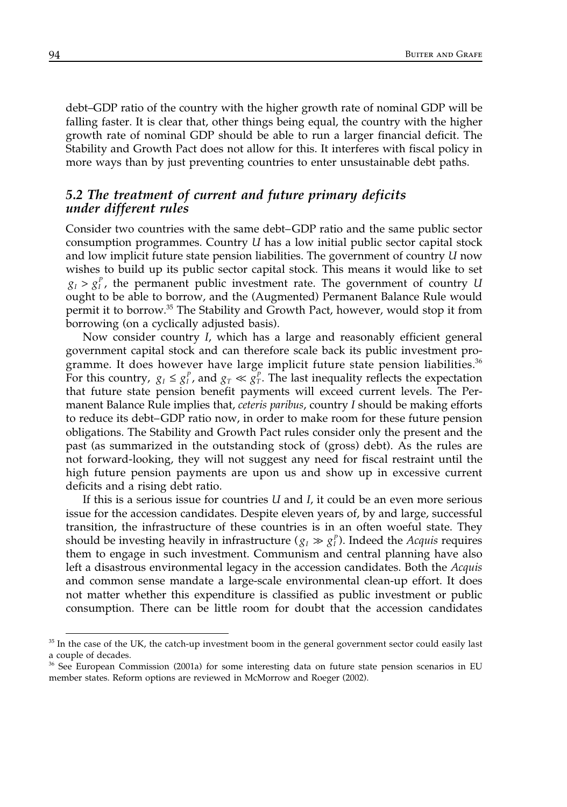debt–GDP ratio of the country with the higher growth rate of nominal GDP will be falling faster. It is clear that, other things being equal, the country with the higher growth rate of nominal GDP should be able to run a larger financial deficit. The Stability and Growth Pact does not allow for this. It interferes with fiscal policy in more ways than by just preventing countries to enter unsustainable debt paths.

# *5.2 The treatment of current and future primary deficits under different rules*

Consider two countries with the same debt–GDP ratio and the same public sector consumption programmes. Country *U* has a low initial public sector capital stock and low implicit future state pension liabilities. The government of country *U* now wishes to build up its public sector capital stock. This means it would like to set  $g_I > g_I^P$ , the permanent public investment rate. The government of country *U* ought to be able to borrow, and the (Augmented) Permanent Balance Rule would permit it to borrow.35 The Stability and Growth Pact, however, would stop it from borrowing (on a cyclically adjusted basis).

Now consider country *I*, which has a large and reasonably efficient general government capital stock and can therefore scale back its public investment programme. It does however have large implicit future state pension liabilities. $36$ For this country,  $g_I \leq g_I^P$ , and  $g_T \ll g_T^P$ . The last inequality reflects the expectation that future state pension benefit payments will exceed current levels. The Permanent Balance Rule implies that, *ceteris paribus*, country *I* should be making efforts to reduce its debt–GDP ratio now, in order to make room for these future pension obligations. The Stability and Growth Pact rules consider only the present and the past (as summarized in the outstanding stock of (gross) debt). As the rules are not forward-looking, they will not suggest any need for fiscal restraint until the high future pension payments are upon us and show up in excessive current deficits and a rising debt ratio.

If this is a serious issue for countries *U* and *I*, it could be an even more serious issue for the accession candidates. Despite eleven years of, by and large, successful transition, the infrastructure of these countries is in an often woeful state. They should be investing heavily in infrastructure ( $g_I \gg g_I^P$ ). Indeed the *Acquis* requires them to engage in such investment. Communism and central planning have also left a disastrous environmental legacy in the accession candidates. Both the *Acquis* and common sense mandate a large-scale environmental clean-up effort. It does not matter whether this expenditure is classified as public investment or public consumption. There can be little room for doubt that the accession candidates

In the case of the UK, the catch-up investment boom in the general government sector could easily last a couple of decades.

<sup>&</sup>lt;sup>36</sup> See European Commission (2001a) for some interesting data on future state pension scenarios in EU member states. Reform options are reviewed in McMorrow and Roeger (2002).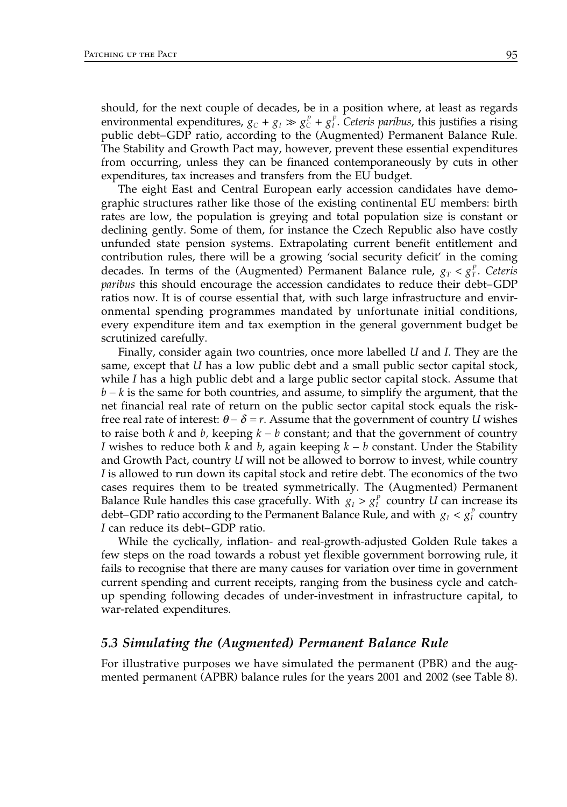should, for the next couple of decades, be in a position where, at least as regards environmental expenditures,  $g_c + g_l \gg g_c^p + g_l^p$ . Ceteris paribus, this justifies a rising public debt–GDP ratio, according to the (Augmented) Permanent Balance Rule. The Stability and Growth Pact may, however, prevent these essential expenditures from occurring, unless they can be financed contemporaneously by cuts in other expenditures, tax increases and transfers from the EU budget.

The eight East and Central European early accession candidates have demographic structures rather like those of the existing continental EU members: birth rates are low, the population is greying and total population size is constant or declining gently. Some of them, for instance the Czech Republic also have costly unfunded state pension systems. Extrapolating current benefit entitlement and contribution rules, there will be a growing 'social security deficit' in the coming decades. In terms of the (Augmented) Permanent Balance rule,  $g_T < g_T^P$ . Ceteris *paribus* this should encourage the accession candidates to reduce their debt–GDP ratios now. It is of course essential that, with such large infrastructure and environmental spending programmes mandated by unfortunate initial conditions, every expenditure item and tax exemption in the general government budget be scrutinized carefully.

Finally, consider again two countries, once more labelled *U* and *I*. They are the same, except that *U* has a low public debt and a small public sector capital stock, while *I* has a high public debt and a large public sector capital stock. Assume that *b* − *k* is the same for both countries, and assume, to simplify the argument, that the net financial real rate of return on the public sector capital stock equals the riskfree real rate of interest:  $\theta - \delta = r$ . Assume that the government of country *U* wishes to raise both *k* and *b,* keeping *k* − *b* constant; and that the government of country *I* wishes to reduce both *k* and *b*, again keeping *k* − *b* constant. Under the Stability and Growth Pact, country *U* will not be allowed to borrow to invest, while country *I* is allowed to run down its capital stock and retire debt. The economics of the two cases requires them to be treated symmetrically. The (Augmented) Permanent Balance Rule handles this case gracefully. With  $g_I > g_I^P$  country *U* can increase its debt–GDP ratio according to the Permanent Balance Rule, and with  $g_I < g_I^P$  country *I* can reduce its debt–GDP ratio.

While the cyclically, inflation- and real-growth-adjusted Golden Rule takes a few steps on the road towards a robust yet flexible government borrowing rule, it fails to recognise that there are many causes for variation over time in government current spending and current receipts, ranging from the business cycle and catchup spending following decades of under-investment in infrastructure capital, to war-related expenditures.

## *5.3 Simulating the (Augmented) Permanent Balance Rule*

For illustrative purposes we have simulated the permanent (PBR) and the augmented permanent (APBR) balance rules for the years 2001 and 2002 (see Table 8).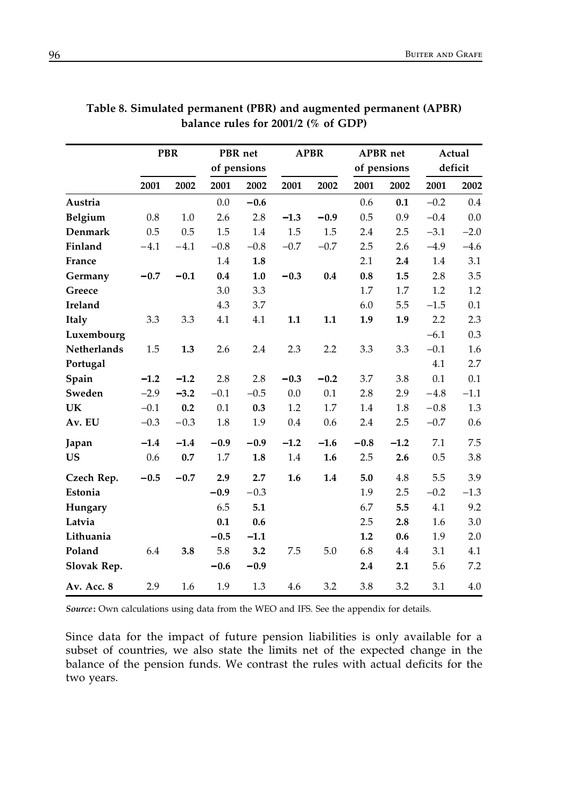|                |        | <b>PBR</b> |        | PBR net     |        | <b>APBR</b> |        | <b>APBR</b> net |        | Actual  |
|----------------|--------|------------|--------|-------------|--------|-------------|--------|-----------------|--------|---------|
|                |        |            |        | of pensions |        |             |        | of pensions     |        | deficit |
|                | 2001   | 2002       | 2001   | 2002        | 2001   | 2002        | 2001   | 2002            | 2001   | 2002    |
| Austria        |        |            | 0.0    | $-0.6$      |        |             | 0.6    | 0.1             | $-0.2$ | 0.4     |
| Belgium        | 0.8    | 1.0        | 2.6    | 2.8         | $-1.3$ | $-0.9$      | 0.5    | 0.9             | $-0.4$ | 0.0     |
| <b>Denmark</b> | 0.5    | 0.5        | 1.5    | 1.4         | 1.5    | 1.5         | 2.4    | 2.5             | $-3.1$ | $-2.0$  |
| Finland        | $-4.1$ | $-4.1$     | $-0.8$ | $-0.8$      | $-0.7$ | $-0.7$      | 2.5    | 2.6             | $-4.9$ | $-4.6$  |
| France         |        |            | 1.4    | 1.8         |        |             | 2.1    | 2.4             | 1.4    | 3.1     |
| Germany        | $-0.7$ | $-0.1$     | 0.4    | 1.0         | $-0.3$ | 0.4         | 0.8    | 1.5             | 2.8    | 3.5     |
| Greece         |        |            | 3.0    | 3.3         |        |             | 1.7    | 1.7             | 1.2    | 1.2     |
| Ireland        |        |            | 4.3    | 3.7         |        |             | 6.0    | 5.5             | $-1.5$ | 0.1     |
| Italy          | 3.3    | 3.3        | 4.1    | 4.1         | 1.1    | 1.1         | 1.9    | 1.9             | 2.2    | 2.3     |
| Luxembourg     |        |            |        |             |        |             |        |                 | $-6.1$ | 0.3     |
| Netherlands    | 1.5    | 1.3        | 2.6    | 2.4         | 2.3    | 2.2         | 3.3    | 3.3             | $-0.1$ | 1.6     |
| Portugal       |        |            |        |             |        |             |        |                 | 4.1    | 2.7     |
| Spain          | $-1.2$ | $-1.2$     | 2.8    | 2.8         | $-0.3$ | $-0.2$      | 3.7    | 3.8             | 0.1    | 0.1     |
| Sweden         | $-2.9$ | $-3.2$     | $-0.1$ | $-0.5$      | 0.0    | 0.1         | 2.8    | 2.9             | $-4.8$ | $-1.1$  |
| UK             | $-0.1$ | 0.2        | 0.1    | 0.3         | 1.2    | 1.7         | 1.4    | 1.8             | $-0.8$ | 1.3     |
| Av. EU         | $-0.3$ | $-0.3$     | 1.8    | 1.9         | 0.4    | 0.6         | 2.4    | 2.5             | $-0.7$ | 0.6     |
| Japan          | $-1.4$ | $-1.4$     | $-0.9$ | $-0.9$      | $-1.2$ | $-1.6$      | $-0.8$ | $-1.2$          | 7.1    | $7.5\,$ |
| <b>US</b>      | 0.6    | 0.7        | 1.7    | 1.8         | 1.4    | 1.6         | 2.5    | 2.6             | 0.5    | 3.8     |
| Czech Rep.     | $-0.5$ | $-0.7$     | 2.9    | 2.7         | 1.6    | 1.4         | 5.0    | 4.8             | 5.5    | 3.9     |
| Estonia        |        |            | $-0.9$ | $-0.3$      |        |             | 1.9    | 2.5             | $-0.2$ | $-1.3$  |
| Hungary        |        |            | 6.5    | 5.1         |        |             | 6.7    | 5.5             | 4.1    | 9.2     |
| Latvia         |        |            | 0.1    | 0.6         |        |             | 2.5    | 2.8             | 1.6    | 3.0     |
| Lithuania      |        |            | $-0.5$ | $-1.1$      |        |             | 1.2    | 0.6             | 1.9    | 2.0     |
| Poland         | 6.4    | 3.8        | 5.8    | 3.2         | 7.5    | 5.0         | 6.8    | 4.4             | 3.1    | 4.1     |
| Slovak Rep.    |        |            | $-0.6$ | $-0.9$      |        |             | 2.4    | 2.1             | 5.6    | 7.2     |
| Av. Acc. 8     | 2.9    | 1.6        | 1.9    | 1.3         | 4.6    | 3.2         | 3.8    | 3.2             | 3.1    | 4.0     |

| Table 8. Simulated permanent (PBR) and augmented permanent (APBR) |  |
|-------------------------------------------------------------------|--|
| balance rules for $2001/2$ (% of GDP)                             |  |

*Source***:** Own calculations using data from the WEO and IFS. See the appendix for details.

Since data for the impact of future pension liabilities is only available for a subset of countries, we also state the limits net of the expected change in the balance of the pension funds. We contrast the rules with actual deficits for the two years.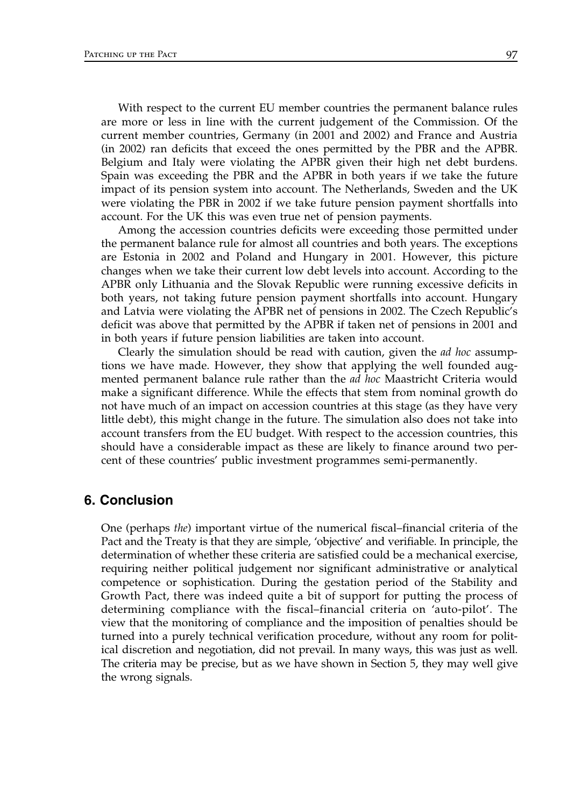With respect to the current EU member countries the permanent balance rules are more or less in line with the current judgement of the Commission. Of the current member countries, Germany (in 2001 and 2002) and France and Austria (in 2002) ran deficits that exceed the ones permitted by the PBR and the APBR. Belgium and Italy were violating the APBR given their high net debt burdens. Spain was exceeding the PBR and the APBR in both years if we take the future impact of its pension system into account. The Netherlands, Sweden and the UK were violating the PBR in 2002 if we take future pension payment shortfalls into account. For the UK this was even true net of pension payments.

Among the accession countries deficits were exceeding those permitted under the permanent balance rule for almost all countries and both years. The exceptions are Estonia in 2002 and Poland and Hungary in 2001. However, this picture changes when we take their current low debt levels into account. According to the APBR only Lithuania and the Slovak Republic were running excessive deficits in both years, not taking future pension payment shortfalls into account. Hungary and Latvia were violating the APBR net of pensions in 2002. The Czech Republic's deficit was above that permitted by the APBR if taken net of pensions in 2001 and in both years if future pension liabilities are taken into account.

Clearly the simulation should be read with caution, given the *ad hoc* assumptions we have made. However, they show that applying the well founded augmented permanent balance rule rather than the *ad hoc* Maastricht Criteria would make a significant difference. While the effects that stem from nominal growth do not have much of an impact on accession countries at this stage (as they have very little debt), this might change in the future. The simulation also does not take into account transfers from the EU budget. With respect to the accession countries, this should have a considerable impact as these are likely to finance around two percent of these countries' public investment programmes semi-permanently.

# **6. Conclusion**

One (perhaps *the*) important virtue of the numerical fiscal–financial criteria of the Pact and the Treaty is that they are simple, 'objective' and verifiable. In principle, the determination of whether these criteria are satisfied could be a mechanical exercise, requiring neither political judgement nor significant administrative or analytical competence or sophistication. During the gestation period of the Stability and Growth Pact, there was indeed quite a bit of support for putting the process of determining compliance with the fiscal–financial criteria on 'auto-pilot'. The view that the monitoring of compliance and the imposition of penalties should be turned into a purely technical verification procedure, without any room for political discretion and negotiation, did not prevail. In many ways, this was just as well. The criteria may be precise, but as we have shown in Section 5, they may well give the wrong signals.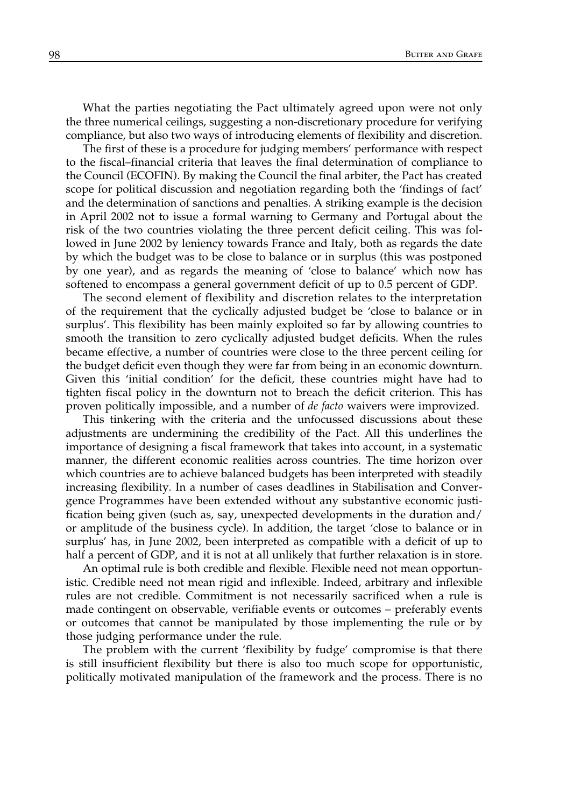What the parties negotiating the Pact ultimately agreed upon were not only the three numerical ceilings, suggesting a non-discretionary procedure for verifying compliance, but also two ways of introducing elements of flexibility and discretion.

The first of these is a procedure for judging members' performance with respect to the fiscal–financial criteria that leaves the final determination of compliance to the Council (ECOFIN). By making the Council the final arbiter, the Pact has created scope for political discussion and negotiation regarding both the 'findings of fact' and the determination of sanctions and penalties. A striking example is the decision in April 2002 not to issue a formal warning to Germany and Portugal about the risk of the two countries violating the three percent deficit ceiling. This was followed in June 2002 by leniency towards France and Italy, both as regards the date by which the budget was to be close to balance or in surplus (this was postponed by one year), and as regards the meaning of 'close to balance' which now has softened to encompass a general government deficit of up to 0.5 percent of GDP.

The second element of flexibility and discretion relates to the interpretation of the requirement that the cyclically adjusted budget be 'close to balance or in surplus'. This flexibility has been mainly exploited so far by allowing countries to smooth the transition to zero cyclically adjusted budget deficits. When the rules became effective, a number of countries were close to the three percent ceiling for the budget deficit even though they were far from being in an economic downturn. Given this 'initial condition' for the deficit, these countries might have had to tighten fiscal policy in the downturn not to breach the deficit criterion. This has proven politically impossible, and a number of *de facto* waivers were improvized.

This tinkering with the criteria and the unfocussed discussions about these adjustments are undermining the credibility of the Pact. All this underlines the importance of designing a fiscal framework that takes into account, in a systematic manner, the different economic realities across countries. The time horizon over which countries are to achieve balanced budgets has been interpreted with steadily increasing flexibility. In a number of cases deadlines in Stabilisation and Convergence Programmes have been extended without any substantive economic justification being given (such as, say, unexpected developments in the duration and/ or amplitude of the business cycle). In addition, the target 'close to balance or in surplus' has, in June 2002, been interpreted as compatible with a deficit of up to half a percent of GDP, and it is not at all unlikely that further relaxation is in store.

An optimal rule is both credible and flexible. Flexible need not mean opportunistic. Credible need not mean rigid and inflexible. Indeed, arbitrary and inflexible rules are not credible. Commitment is not necessarily sacrificed when a rule is made contingent on observable, verifiable events or outcomes – preferably events or outcomes that cannot be manipulated by those implementing the rule or by those judging performance under the rule.

The problem with the current 'flexibility by fudge' compromise is that there is still insufficient flexibility but there is also too much scope for opportunistic, politically motivated manipulation of the framework and the process. There is no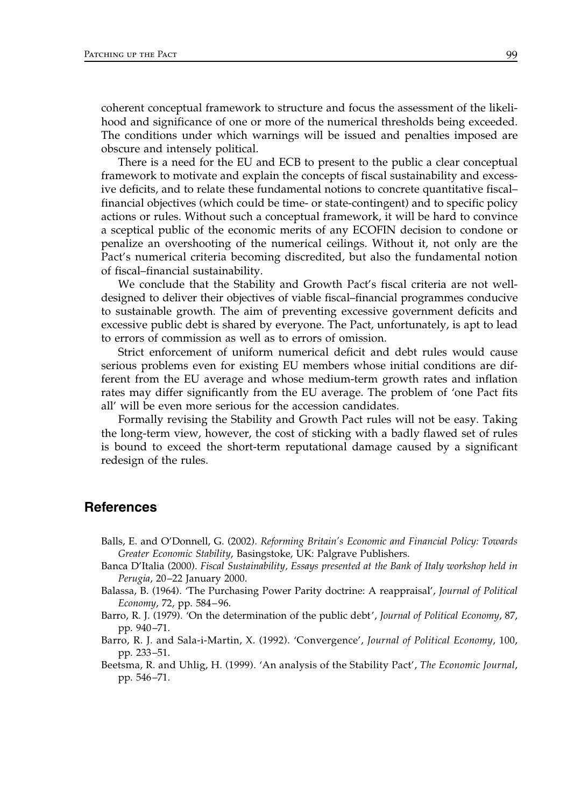coherent conceptual framework to structure and focus the assessment of the likelihood and significance of one or more of the numerical thresholds being exceeded. The conditions under which warnings will be issued and penalties imposed are obscure and intensely political.

There is a need for the EU and ECB to present to the public a clear conceptual framework to motivate and explain the concepts of fiscal sustainability and excessive deficits, and to relate these fundamental notions to concrete quantitative fiscal– financial objectives (which could be time- or state-contingent) and to specific policy actions or rules. Without such a conceptual framework, it will be hard to convince a sceptical public of the economic merits of any ECOFIN decision to condone or penalize an overshooting of the numerical ceilings. Without it, not only are the Pact's numerical criteria becoming discredited, but also the fundamental notion of fiscal–financial sustainability.

We conclude that the Stability and Growth Pact's fiscal criteria are not welldesigned to deliver their objectives of viable fiscal–financial programmes conducive to sustainable growth. The aim of preventing excessive government deficits and excessive public debt is shared by everyone. The Pact, unfortunately, is apt to lead to errors of commission as well as to errors of omission.

Strict enforcement of uniform numerical deficit and debt rules would cause serious problems even for existing EU members whose initial conditions are different from the EU average and whose medium-term growth rates and inflation rates may differ significantly from the EU average. The problem of 'one Pact fits all' will be even more serious for the accession candidates.

Formally revising the Stability and Growth Pact rules will not be easy. Taking the long-term view, however, the cost of sticking with a badly flawed set of rules is bound to exceed the short-term reputational damage caused by a significant redesign of the rules.

# **References**

Balls, E. and O'Donnell, G. (2002). *Reforming Britain's Economic and Financial Policy: Towards Greater Economic Stability*, Basingstoke, UK: Palgrave Publishers.

Banca D'Italia (2000). *Fiscal Sustainability, Essays presented at the Bank of Italy workshop held in Perugia*, 20–22 January 2000.

Balassa, B. (1964). 'The Purchasing Power Parity doctrine: A reappraisal', *Journal of Political Economy*, 72, pp. 584–96.

Barro, R. J. (1979). 'On the determination of the public debt', *Journal of Political Economy*, 87, pp. 940–71.

Barro, R. J. and Sala-i-Martin, X. (1992). 'Convergence', *Journal of Political Economy*, 100, pp. 233–51.

Beetsma, R. and Uhlig, H. (1999). 'An analysis of the Stability Pact', *The Economic Journal*, pp. 546–71.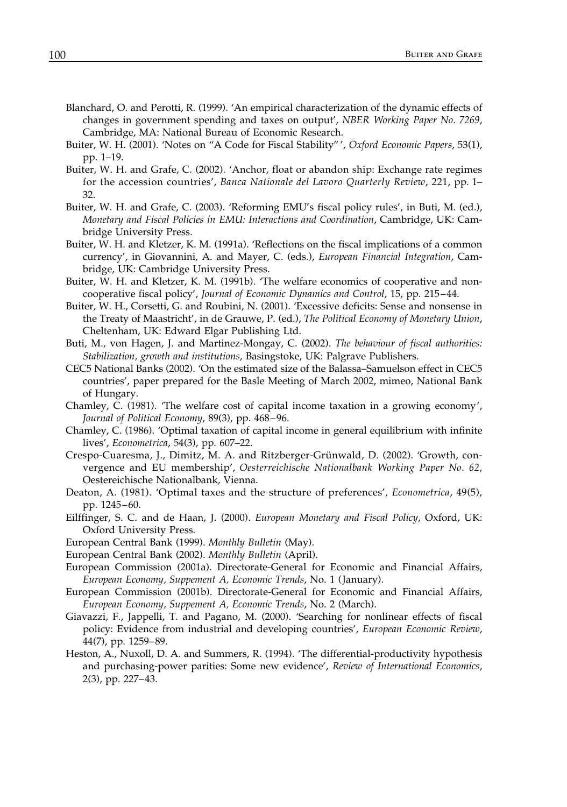- Blanchard, O. and Perotti, R. (1999). 'An empirical characterization of the dynamic effects of changes in government spending and taxes on output', *NBER Working Paper No. 7269*, Cambridge, MA: National Bureau of Economic Research.
- Buiter, W. H. (2001). 'Notes on "A Code for Fiscal Stability" ', *Oxford Economic Papers*, 53(1), pp. 1–19.
- Buiter, W. H. and Grafe, C. (2002). 'Anchor, float or abandon ship: Exchange rate regimes for the accession countries', *Banca Nationale del Lavoro Quarterly Review*, 221, pp. 1– 32.
- Buiter, W. H. and Grafe, C. (2003). 'Reforming EMU's fiscal policy rules', in Buti, M. (ed.), *Monetary and Fiscal Policies in EMU: Interactions and Coordination*, Cambridge, UK: Cambridge University Press.
- Buiter, W. H. and Kletzer, K. M. (1991a). 'Reflections on the fiscal implications of a common currency', in Giovannini, A. and Mayer, C. (eds.), *European Financial Integration*, Cambridge, UK: Cambridge University Press.
- Buiter, W. H. and Kletzer, K. M. (1991b). 'The welfare economics of cooperative and noncooperative fiscal policy', *Journal of Economic Dynamics and Control*, 15, pp. 215–44.
- Buiter, W. H., Corsetti, G. and Roubini, N. (2001). 'Excessive deficits: Sense and nonsense in the Treaty of Maastricht', in de Grauwe, P. (ed.), *The Political Economy of Monetary Union*, Cheltenham, UK: Edward Elgar Publishing Ltd.
- Buti, M., von Hagen, J. and Martinez-Mongay, C. (2002). *The behaviour of fiscal authorities: Stabilization, growth and institutions*, Basingstoke, UK: Palgrave Publishers.
- CEC5 National Banks (2002). 'On the estimated size of the Balassa–Samuelson effect in CEC5 countries', paper prepared for the Basle Meeting of March 2002, mimeo, National Bank of Hungary.
- Chamley, C. (1981). 'The welfare cost of capital income taxation in a growing economy', *Journal of Political Economy*, 89(3), pp. 468–96.
- Chamley, C. (1986). 'Optimal taxation of capital income in general equilibrium with infinite lives', *Econometrica*, 54(3), pp. 607–22.
- Crespo-Cuaresma, J., Dimitz, M. A. and Ritzberger-Grünwald, D. (2002). 'Growth, convergence and EU membership', *Oesterreichische Nationalbank Working Paper No. 62*, Oestereichische Nationalbank, Vienna.
- Deaton, A. (1981). 'Optimal taxes and the structure of preferences', *Econometrica*, 49(5), pp. 1245–60.
- Eilffinger, S. C. and de Haan, J. (2000). *European Monetary and Fiscal Policy*, Oxford, UK: Oxford University Press.
- European Central Bank (1999). *Monthly Bulletin* (May).
- European Central Bank (2002). *Monthly Bulletin* (April).
- European Commission (2001a). Directorate-General for Economic and Financial Affairs, *European Economy, Suppement A, Economic Trends*, No. 1 (January).
- European Commission (2001b). Directorate-General for Economic and Financial Affairs, *European Economy, Suppement A, Economic Trends*, No. 2 (March).
- Giavazzi, F., Jappelli, T. and Pagano, M. (2000). 'Searching for nonlinear effects of fiscal policy: Evidence from industrial and developing countries', *European Economic Review*, 44(7), pp. 1259–89.
- Heston, A., Nuxoll, D. A. and Summers, R. (1994). 'The differential-productivity hypothesis and purchasing-power parities: Some new evidence', *Review of International Economics*, 2(3), pp. 227–43.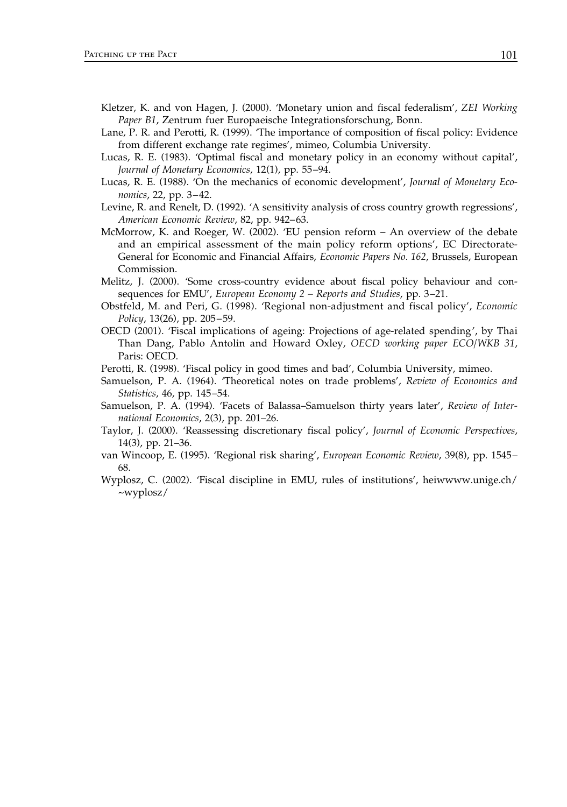- Kletzer, K. and von Hagen, J. (2000). 'Monetary union and fiscal federalism', *ZEI Working Paper B1*, Zentrum fuer Europaeische Integrationsforschung, Bonn.
- Lane, P. R. and Perotti, R. (1999). 'The importance of composition of fiscal policy: Evidence from different exchange rate regimes', mimeo, Columbia University.
- Lucas, R. E. (1983). 'Optimal fiscal and monetary policy in an economy without capital', *Journal of Monetary Economics*, 12(1), pp. 55–94.
- Lucas, R. E. (1988). 'On the mechanics of economic development', *Journal of Monetary Economics*, 22, pp. 3–42.
- Levine, R. and Renelt, D. (1992). 'A sensitivity analysis of cross country growth regressions', *American Economic Review*, 82, pp. 942–63.
- McMorrow, K. and Roeger, W. (2002). 'EU pension reform An overview of the debate and an empirical assessment of the main policy reform options', EC Directorate-General for Economic and Financial Affairs, *Economic Papers No. 162*, Brussels, European Commission.
- Melitz, J. (2000). 'Some cross-country evidence about fiscal policy behaviour and consequences for EMU', *European Economy 2 – Reports and Studies*, pp. 3–21.
- Obstfeld, M. and Peri, G. (1998). 'Regional non-adjustment and fiscal policy', *Economic Policy*, 13(26), pp. 205–59.
- OECD (2001). 'Fiscal implications of ageing: Projections of age-related spending', by Thai Than Dang, Pablo Antolin and Howard Oxley, *OECD working paper ECO/WKB 31*, Paris: OECD.
- Perotti, R. (1998). 'Fiscal policy in good times and bad', Columbia University, mimeo.
- Samuelson, P. A. (1964). 'Theoretical notes on trade problems', *Review of Economics and Statistics*, 46, pp. 145–54.
- Samuelson, P. A. (1994). 'Facets of Balassa–Samuelson thirty years later', *Review of International Economics*, 2(3), pp. 201–26.
- Taylor, J. (2000). 'Reassessing discretionary fiscal policy', *Journal of Economic Perspectives*, 14(3), pp. 21–36.
- van Wincoop, E. (1995). 'Regional risk sharing', *European Economic Review*, 39(8), pp. 1545– 68.
- Wyplosz, C. (2002). 'Fiscal discipline in EMU, rules of institutions', heiwwww.unige.ch/ ~wyplosz/